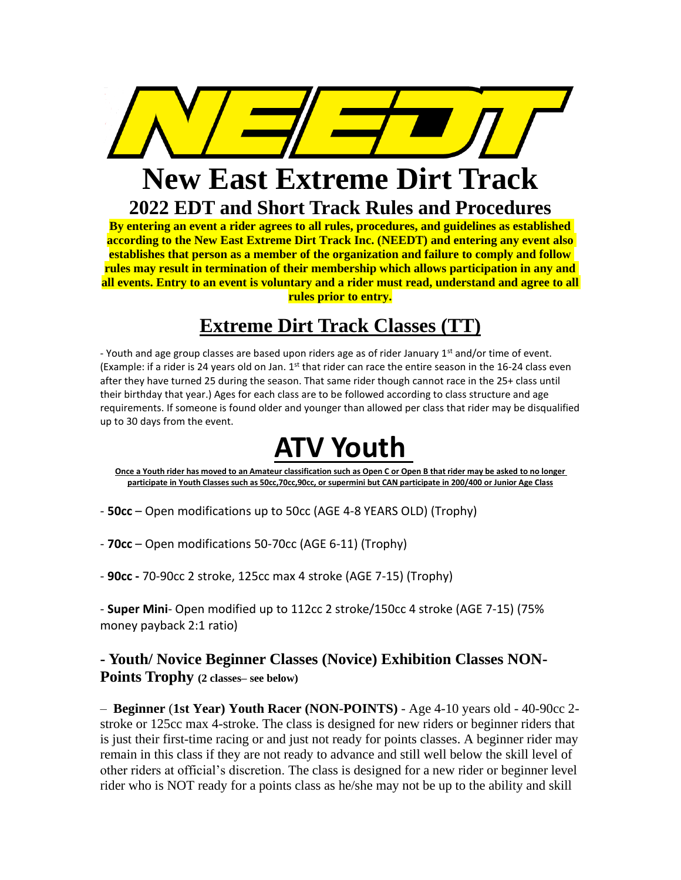

## **New East Extreme Dirt Track 2022 EDT and Short Track Rules and Procedures**

**By entering an event a rider agrees to all rules, procedures, and guidelines as established according to the New East Extreme Dirt Track Inc. (NEEDT) and entering any event also establishes that person as a member of the organization and failure to comply and follow rules may result in termination of their membership which allows participation in any and all events. Entry to an event is voluntary and a rider must read, understand and agree to all rules prior to entry.**

## **Extreme Dirt Track Classes (TT)**

- Youth and age group classes are based upon riders age as of rider January 1<sup>st</sup> and/or time of event. (Example: if a rider is 24 years old on Jan.  $1<sup>st</sup>$  that rider can race the entire season in the 16-24 class even after they have turned 25 during the season. That same rider though cannot race in the 25+ class until their birthday that year.) Ages for each class are to be followed according to class structure and age requirements. If someone is found older and younger than allowed per class that rider may be disqualified up to 30 days from the event.

# **ATV Youth**

**Once a Youth rider has moved to an Amateur classification such as Open C or Open B that rider may be asked to no longer participate in Youth Classes such as 50cc,70cc,90cc, or supermini but CAN participate in 200/400 or Junior Age Class**

- **50cc**  Open modifications up to 50cc (AGE 4-8 YEARS OLD) (Trophy)
- **70cc**  Open modifications 50-70cc (AGE 6-11) (Trophy)
- **90cc -** 70-90cc 2 stroke, 125cc max 4 stroke (AGE 7-15) (Trophy)

- **Super Mini**- Open modified up to 112cc 2 stroke/150cc 4 stroke (AGE 7-15) (75% money payback 2:1 ratio)

### **- Youth/ Novice Beginner Classes (Novice) Exhibition Classes NON-Points Trophy (2 classes– see below)**

– **Beginner** (**1st Year) Youth Racer (NON-POINTS)** - Age 4-10 years old - 40-90cc 2 stroke or 125cc max 4-stroke. The class is designed for new riders or beginner riders that is just their first-time racing or and just not ready for points classes. A beginner rider may remain in this class if they are not ready to advance and still well below the skill level of other riders at official's discretion. The class is designed for a new rider or beginner level rider who is NOT ready for a points class as he/she may not be up to the ability and skill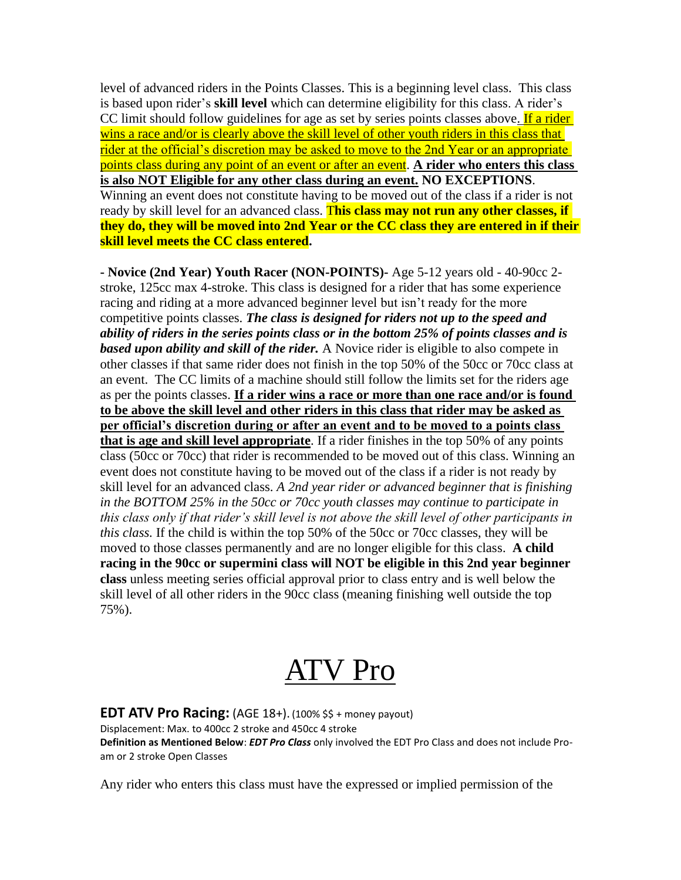level of advanced riders in the Points Classes. This is a beginning level class. This class is based upon rider's **skill level** which can determine eligibility for this class. A rider's CC limit should follow guidelines for age as set by series points classes above. If a rider wins a race and/or is clearly above the skill level of other youth riders in this class that rider at the official's discretion may be asked to move to the 2nd Year or an appropriate points class during any point of an event or after an event. **A rider who enters this class is also NOT Eligible for any other class during an event. NO EXCEPTIONS**. Winning an event does not constitute having to be moved out of the class if a rider is not ready by skill level for an advanced class. T**his class may not run any other classes, if they do, they will be moved into 2nd Year or the CC class they are entered in if their skill level meets the CC class entered.**

**- Novice (2nd Year) Youth Racer (NON-POINTS)-** Age 5-12 years old - 40-90cc 2 stroke, 125cc max 4-stroke. This class is designed for a rider that has some experience racing and riding at a more advanced beginner level but isn't ready for the more competitive points classes. *The class is designed for riders not up to the speed and ability of riders in the series points class or in the bottom 25% of points classes and is based upon ability and skill of the rider.* A Novice rider is eligible to also compete in other classes if that same rider does not finish in the top 50% of the 50cc or 70cc class at an event. The CC limits of a machine should still follow the limits set for the riders age as per the points classes. **If a rider wins a race or more than one race and/or is found to be above the skill level and other riders in this class that rider may be asked as per official's discretion during or after an event and to be moved to a points class that is age and skill level appropriate**. If a rider finishes in the top 50% of any points class (50cc or 70cc) that rider is recommended to be moved out of this class. Winning an event does not constitute having to be moved out of the class if a rider is not ready by skill level for an advanced class. *A 2nd year rider or advanced beginner that is finishing in the BOTTOM 25% in the 50cc or 70cc youth classes may continue to participate in this class only if that rider's skill level is not above the skill level of other participants in this class.* If the child is within the top 50% of the 50cc or 70cc classes, they will be moved to those classes permanently and are no longer eligible for this class. **A child racing in the 90cc or supermini class will NOT be eligible in this 2nd year beginner class** unless meeting series official approval prior to class entry and is well below the skill level of all other riders in the 90cc class (meaning finishing well outside the top 75%).

# ATV Pro

**EDT ATV Pro Racing:** (AGE 18+). (100% \$\$ + money payout) Displacement: Max. to 400cc 2 stroke and 450cc 4 stroke **Definition as Mentioned Below**: *EDT Pro Class* only involved the EDT Pro Class and does not include Proam or 2 stroke Open Classes

Any rider who enters this class must have the expressed or implied permission of the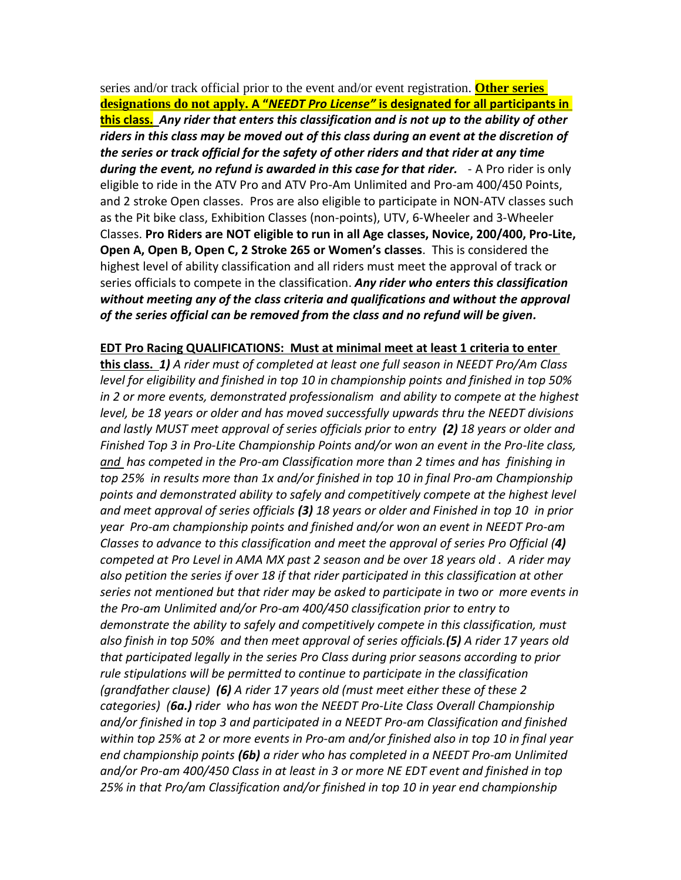series and/or track official prior to the event and/or event registration. **Other series designations do not apply. A "***NEEDT Pro License"* **is designated for all participants in this class.** *Any rider that enters this classification and is not up to the ability of other riders in this class may be moved out of this class during an event at the discretion of the series or track official for the safety of other riders and that rider at any time during the event, no refund is awarded in this case for that rider.* - A Pro rider is only eligible to ride in the ATV Pro and ATV Pro-Am Unlimited and Pro-am 400/450 Points, and 2 stroke Open classes. Pros are also eligible to participate in NON-ATV classes such as the Pit bike class, Exhibition Classes (non-points), UTV, 6-Wheeler and 3-Wheeler Classes. **Pro Riders are NOT eligible to run in all Age classes, Novice, 200/400, Pro-Lite, Open A, Open B, Open C, 2 Stroke 265 or Women's classes**. This is considered the highest level of ability classification and all riders must meet the approval of track or series officials to compete in the classification. *Any rider who enters this classification without meeting any of the class criteria and qualifications and without the approval of the series official can be removed from the class and no refund will be given.*

#### **EDT Pro Racing QUALIFICATIONS: Must at minimal meet at least 1 criteria to enter**

**this class.** *1) A rider must of completed at least one full season in NEEDT Pro/Am Class level for eligibility and finished in top 10 in championship points and finished in top 50% in 2 or more events, demonstrated professionalism and ability to compete at the highest level, be 18 years or older and has moved successfully upwards thru the NEEDT divisions and lastly MUST meet approval of series officials prior to entry (2) 18 years or older and Finished Top 3 in Pro-Lite Championship Points and/or won an event in the Pro-lite class, and has competed in the Pro-am Classification more than 2 times and has finishing in top 25% in results more than 1x and/or finished in top 10 in final Pro-am Championship points and demonstrated ability to safely and competitively compete at the highest level and meet approval of series officials (3) 18 years or older and Finished in top 10 in prior year Pro-am championship points and finished and/or won an event in NEEDT Pro-am Classes to advance to this classification and meet the approval of series Pro Official (4) competed at Pro Level in AMA MX past 2 season and be over 18 years old . A rider may also petition the series if over 18 if that rider participated in this classification at other series not mentioned but that rider may be asked to participate in two or more events in the Pro-am Unlimited and/or Pro-am 400/450 classification prior to entry to demonstrate the ability to safely and competitively compete in this classification, must also finish in top 50% and then meet approval of series officials.(5) A rider 17 years old that participated legally in the series Pro Class during prior seasons according to prior rule stipulations will be permitted to continue to participate in the classification (grandfather clause) (6) A rider 17 years old (must meet either these of these 2 categories) (6a.) rider who has won the NEEDT Pro-Lite Class Overall Championship and/or finished in top 3 and participated in a NEEDT Pro-am Classification and finished within top 25% at 2 or more events in Pro-am and/or finished also in top 10 in final year end championship points (6b) a rider who has completed in a NEEDT Pro-am Unlimited and/or Pro-am 400/450 Class in at least in 3 or more NE EDT event and finished in top 25% in that Pro/am Classification and/or finished in top 10 in year end championship*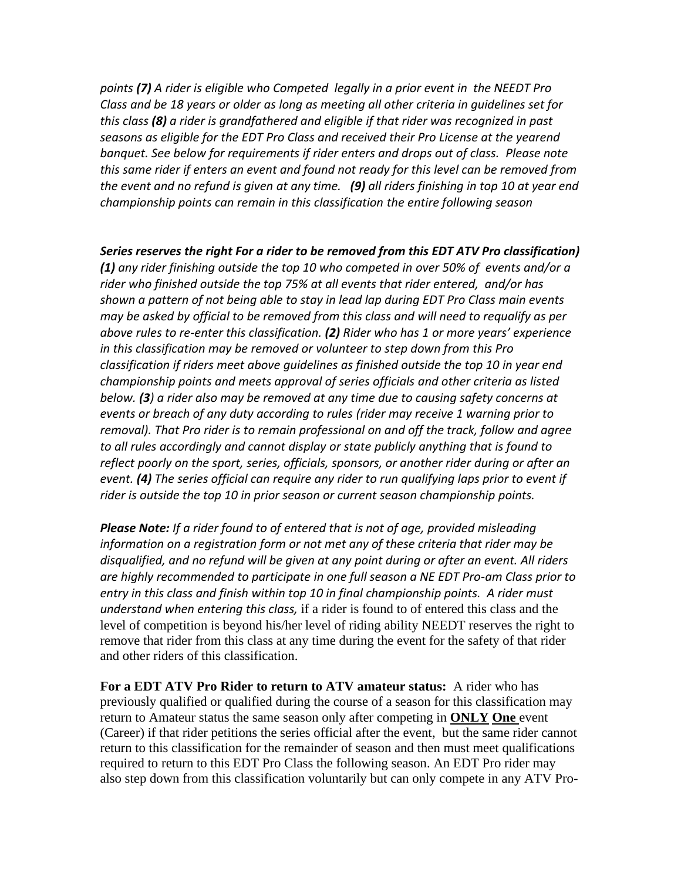*points (7) A rider is eligible who Competed legally in a prior event in the NEEDT Pro Class and be 18 years or older as long as meeting all other criteria in guidelines set for this class (8) a rider is grandfathered and eligible if that rider was recognized in past seasons as eligible for the EDT Pro Class and received their Pro License at the yearend banquet. See below for requirements if rider enters and drops out of class. Please note this same rider if enters an event and found not ready for this level can be removed from the event and no refund is given at any time. (9) all riders finishing in top 10 at year end championship points can remain in this classification the entire following season*

*Series reserves the right For a rider to be removed from this EDT ATV Pro classification)* 

*(1) any rider finishing outside the top 10 who competed in over 50% of events and/or a rider who finished outside the top 75% at all events that rider entered, and/or has shown a pattern of not being able to stay in lead lap during EDT Pro Class main events may be asked by official to be removed from this class and will need to requalify as per above rules to re-enter this classification. (2) Rider who has 1 or more years' experience in this classification may be removed or volunteer to step down from this Pro classification if riders meet above guidelines as finished outside the top 10 in year end championship points and meets approval of series officials and other criteria as listed below. (3) a rider also may be removed at any time due to causing safety concerns at events or breach of any duty according to rules (rider may receive 1 warning prior to removal). That Pro rider is to remain professional on and off the track, follow and agree to all rules accordingly and cannot display or state publicly anything that is found to reflect poorly on the sport, series, officials, sponsors, or another rider during or after an event. (4) The series official can require any rider to run qualifying laps prior to event if rider is outside the top 10 in prior season or current season championship points.* 

*Please Note: If a rider found to of entered that is not of age, provided misleading information on a registration form or not met any of these criteria that rider may be disqualified, and no refund will be given at any point during or after an event. All riders are highly recommended to participate in one full season a NE EDT Pro-am Class prior to entry in this class and finish within top 10 in final championship points. A rider must understand when entering this class,* if a rider is found to of entered this class and the level of competition is beyond his/her level of riding ability NEEDT reserves the right to remove that rider from this class at any time during the event for the safety of that rider and other riders of this classification.

**For a EDT ATV Pro Rider to return to ATV amateur status:** A rider who has previously qualified or qualified during the course of a season for this classification may return to Amateur status the same season only after competing in **ONLY One** event (Career) if that rider petitions the series official after the event, but the same rider cannot return to this classification for the remainder of season and then must meet qualifications required to return to this EDT Pro Class the following season. An EDT Pro rider may also step down from this classification voluntarily but can only compete in any ATV Pro-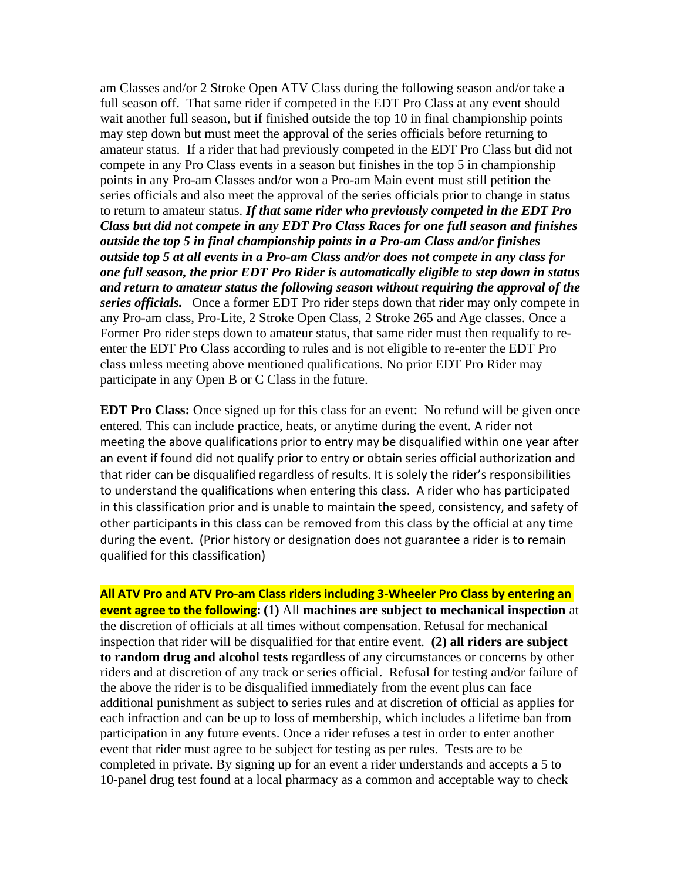am Classes and/or 2 Stroke Open ATV Class during the following season and/or take a full season off. That same rider if competed in the EDT Pro Class at any event should wait another full season, but if finished outside the top 10 in final championship points may step down but must meet the approval of the series officials before returning to amateur status. If a rider that had previously competed in the EDT Pro Class but did not compete in any Pro Class events in a season but finishes in the top 5 in championship points in any Pro-am Classes and/or won a Pro-am Main event must still petition the series officials and also meet the approval of the series officials prior to change in status to return to amateur status. *If that same rider who previously competed in the EDT Pro Class but did not compete in any EDT Pro Class Races for one full season and finishes outside the top 5 in final championship points in a Pro-am Class and/or finishes outside top 5 at all events in a Pro-am Class and/or does not compete in any class for one full season, the prior EDT Pro Rider is automatically eligible to step down in status and return to amateur status the following season without requiring the approval of the series officials.*Once a former EDT Pro rider steps down that rider may only compete in any Pro-am class, Pro-Lite, 2 Stroke Open Class, 2 Stroke 265 and Age classes. Once a Former Pro rider steps down to amateur status, that same rider must then requalify to reenter the EDT Pro Class according to rules and is not eligible to re-enter the EDT Pro class unless meeting above mentioned qualifications. No prior EDT Pro Rider may participate in any Open B or C Class in the future.

**EDT Pro Class:** Once signed up for this class for an event: No refund will be given once entered. This can include practice, heats, or anytime during the event. A rider not meeting the above qualifications prior to entry may be disqualified within one year after an event if found did not qualify prior to entry or obtain series official authorization and that rider can be disqualified regardless of results. It is solely the rider's responsibilities to understand the qualifications when entering this class. A rider who has participated in this classification prior and is unable to maintain the speed, consistency, and safety of other participants in this class can be removed from this class by the official at any time during the event. (Prior history or designation does not guarantee a rider is to remain qualified for this classification)

**All ATV Pro and ATV Pro-am Class riders including 3-Wheeler Pro Class by entering an event agree to the following: (1)** All **machines are subject to mechanical inspection** at the discretion of officials at all times without compensation. Refusal for mechanical inspection that rider will be disqualified for that entire event. **(2) all riders are subject to random drug and alcohol tests** regardless of any circumstances or concerns by other riders and at discretion of any track or series official. Refusal for testing and/or failure of the above the rider is to be disqualified immediately from the event plus can face additional punishment as subject to series rules and at discretion of official as applies for each infraction and can be up to loss of membership, which includes a lifetime ban from participation in any future events. Once a rider refuses a test in order to enter another event that rider must agree to be subject for testing as per rules. Tests are to be completed in private. By signing up for an event a rider understands and accepts a 5 to 10-panel drug test found at a local pharmacy as a common and acceptable way to check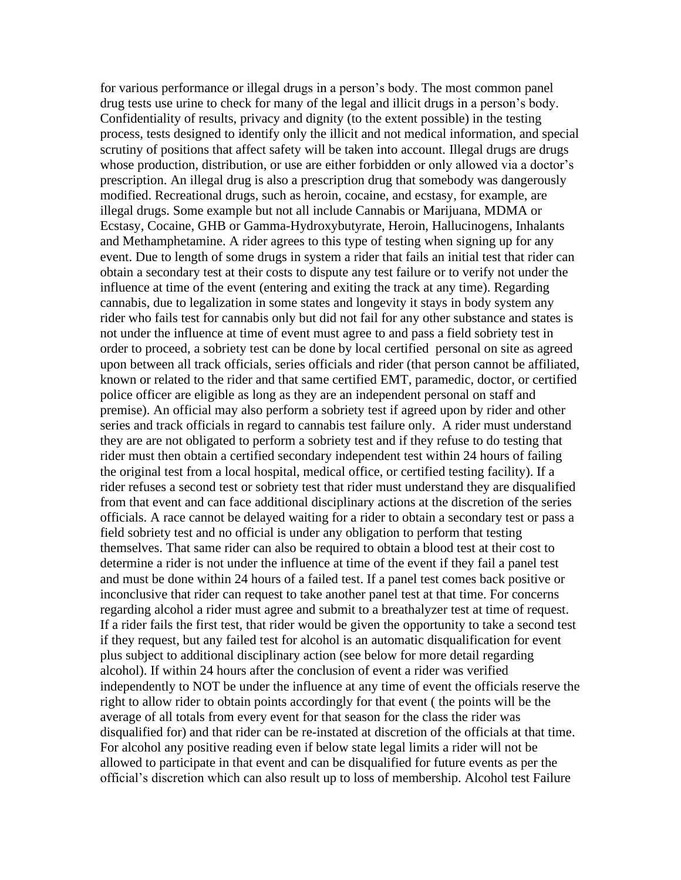for various performance or illegal drugs in a person's body. The most common panel drug tests use urine to check for many of the legal and illicit drugs in a person's body. Confidentiality of results, privacy and dignity (to the extent possible) in the testing process, tests designed to identify only the illicit and not medical information, and special scrutiny of positions that affect safety will be taken into account. Illegal drugs are drugs whose production, distribution, or use are either forbidden or only allowed via a doctor's prescription. An illegal drug is also a prescription drug that somebody was dangerously modified. Recreational drugs, such as heroin, cocaine, and ecstasy, for example, are illegal drugs. Some example but not all include Cannabis or Marijuana, MDMA or Ecstasy, Cocaine, GHB or Gamma-Hydroxybutyrate, Heroin, Hallucinogens, Inhalants and Methamphetamine. A rider agrees to this type of testing when signing up for any event. Due to length of some drugs in system a rider that fails an initial test that rider can obtain a secondary test at their costs to dispute any test failure or to verify not under the influence at time of the event (entering and exiting the track at any time). Regarding cannabis, due to legalization in some states and longevity it stays in body system any rider who fails test for cannabis only but did not fail for any other substance and states is not under the influence at time of event must agree to and pass a field sobriety test in order to proceed, a sobriety test can be done by local certified personal on site as agreed upon between all track officials, series officials and rider (that person cannot be affiliated, known or related to the rider and that same certified EMT, paramedic, doctor, or certified police officer are eligible as long as they are an independent personal on staff and premise). An official may also perform a sobriety test if agreed upon by rider and other series and track officials in regard to cannabis test failure only. A rider must understand they are are not obligated to perform a sobriety test and if they refuse to do testing that rider must then obtain a certified secondary independent test within 24 hours of failing the original test from a local hospital, medical office, or certified testing facility). If a rider refuses a second test or sobriety test that rider must understand they are disqualified from that event and can face additional disciplinary actions at the discretion of the series officials. A race cannot be delayed waiting for a rider to obtain a secondary test or pass a field sobriety test and no official is under any obligation to perform that testing themselves. That same rider can also be required to obtain a blood test at their cost to determine a rider is not under the influence at time of the event if they fail a panel test and must be done within 24 hours of a failed test. If a panel test comes back positive or inconclusive that rider can request to take another panel test at that time. For concerns regarding alcohol a rider must agree and submit to a breathalyzer test at time of request. If a rider fails the first test, that rider would be given the opportunity to take a second test if they request, but any failed test for alcohol is an automatic disqualification for event plus subject to additional disciplinary action (see below for more detail regarding alcohol). If within 24 hours after the conclusion of event a rider was verified independently to NOT be under the influence at any time of event the officials reserve the right to allow rider to obtain points accordingly for that event ( the points will be the average of all totals from every event for that season for the class the rider was disqualified for) and that rider can be re-instated at discretion of the officials at that time. For alcohol any positive reading even if below state legal limits a rider will not be allowed to participate in that event and can be disqualified for future events as per the official's discretion which can also result up to loss of membership. Alcohol test Failure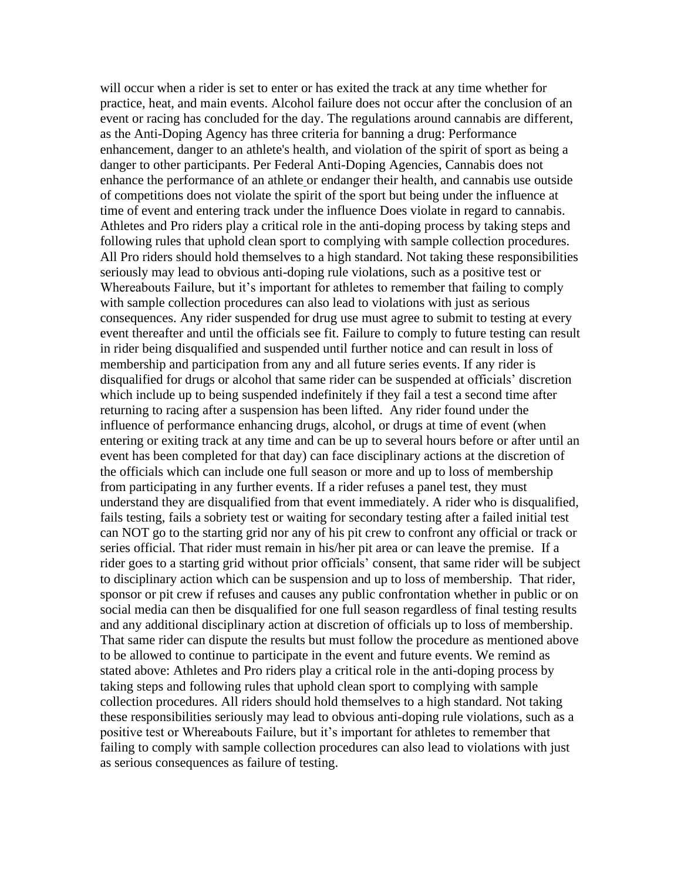will occur when a rider is set to enter or has exited the track at any time whether for practice, heat, and main events. Alcohol failure does not occur after the conclusion of an event or racing has concluded for the day. The regulations around cannabis are different, as the Anti-Doping Agency has three criteria for banning a drug: Performance enhancement, danger to an athlete's health, and violation of the spirit of sport as being a danger to other participants. Per Federal Anti-Doping Agencies, Cannabis does not enhance the performance of an athlete or endanger their health, and cannabis use outside of competitions does not violate the spirit of the sport but being under the influence at time of event and entering track under the influence Does violate in regard to cannabis. Athletes and Pro riders play a critical role in the anti-doping process by taking steps and following rules that uphold clean sport to complying with sample collection procedures. All Pro riders should hold themselves to a high standard. Not taking these responsibilities seriously may lead to obvious anti-doping rule violations, such as a positive test or Whereabouts Failure, but it's important for athletes to remember that failing to comply with sample collection procedures can also lead to violations with just as serious consequences. Any rider suspended for drug use must agree to submit to testing at every event thereafter and until the officials see fit. Failure to comply to future testing can result in rider being disqualified and suspended until further notice and can result in loss of membership and participation from any and all future series events. If any rider is disqualified for drugs or alcohol that same rider can be suspended at officials' discretion which include up to being suspended indefinitely if they fail a test a second time after returning to racing after a suspension has been lifted. Any rider found under the influence of performance enhancing drugs, alcohol, or drugs at time of event (when entering or exiting track at any time and can be up to several hours before or after until an event has been completed for that day) can face disciplinary actions at the discretion of the officials which can include one full season or more and up to loss of membership from participating in any further events. If a rider refuses a panel test, they must understand they are disqualified from that event immediately. A rider who is disqualified, fails testing, fails a sobriety test or waiting for secondary testing after a failed initial test can NOT go to the starting grid nor any of his pit crew to confront any official or track or series official. That rider must remain in his/her pit area or can leave the premise. If a rider goes to a starting grid without prior officials' consent, that same rider will be subject to disciplinary action which can be suspension and up to loss of membership. That rider, sponsor or pit crew if refuses and causes any public confrontation whether in public or on social media can then be disqualified for one full season regardless of final testing results and any additional disciplinary action at discretion of officials up to loss of membership. That same rider can dispute the results but must follow the procedure as mentioned above to be allowed to continue to participate in the event and future events. We remind as stated above: Athletes and Pro riders play a critical role in the anti-doping process by taking steps and following rules that uphold clean sport to complying with sample collection procedures. All riders should hold themselves to a high standard. Not taking these responsibilities seriously may lead to obvious anti-doping rule violations, such as a positive test or Whereabouts Failure, but it's important for athletes to remember that failing to comply with sample collection procedures can also lead to violations with just as serious consequences as failure of testing.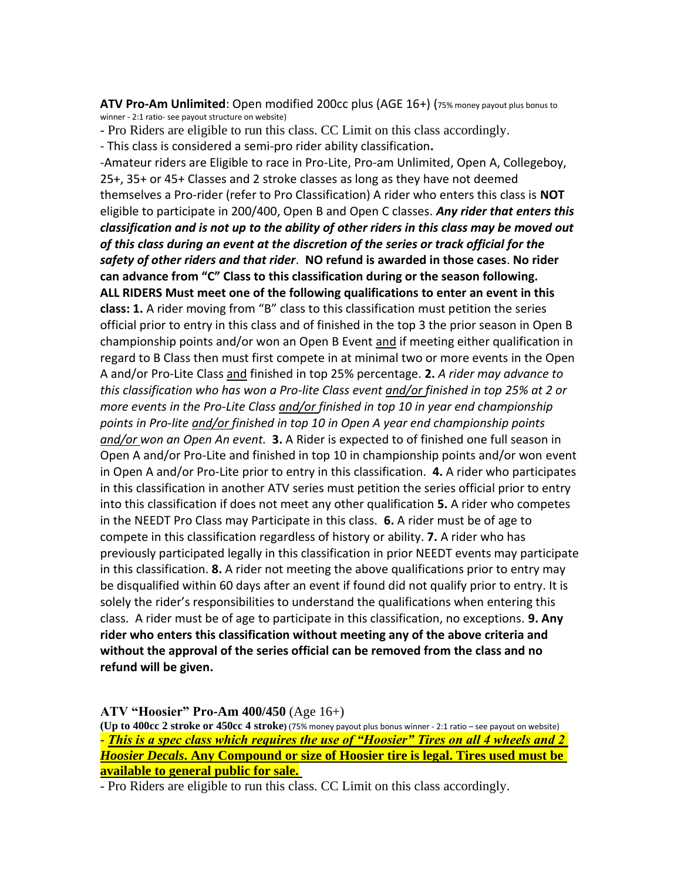**ATV Pro-Am Unlimited**: Open modified 200cc plus (AGE 16+) (75% money payout plus bonus to winner - 2:1 ratio- see payout structure on website)

- Pro Riders are eligible to run this class. CC Limit on this class accordingly.

- This class is considered a semi-pro rider ability classification**.** 

-Amateur riders are Eligible to race in Pro-Lite, Pro-am Unlimited, Open A, Collegeboy, 25+, 35+ or 45+ Classes and 2 stroke classes as long as they have not deemed themselves a Pro-rider (refer to Pro Classification) A rider who enters this class is **NOT**  eligible to participate in 200/400, Open B and Open C classes. *Any rider that enters this classification and is not up to the ability of other riders in this class may be moved out of this class during an event at the discretion of the series or track official for the safety of other riders and that rider*. **NO refund is awarded in those cases**. **No rider can advance from "C" Class to this classification during or the season following. ALL RIDERS Must meet one of the following qualifications to enter an event in this class: 1.** A rider moving from "B" class to this classification must petition the series official prior to entry in this class and of finished in the top 3 the prior season in Open B championship points and/or won an Open B Event and if meeting either qualification in regard to B Class then must first compete in at minimal two or more events in the Open A and/or Pro-Lite Class and finished in top 25% percentage. **2.** *A rider may advance to this classification who has won a Pro-lite Class event and/or finished in top 25% at 2 or more events in the Pro-Lite Class and/or finished in top 10 in year end championship points in Pro-lite and/or finished in top 10 in Open A year end championship points and/or won an Open An event.* **3.** A Rider is expected to of finished one full season in Open A and/or Pro-Lite and finished in top 10 in championship points and/or won event in Open A and/or Pro-Lite prior to entry in this classification. **4.** A rider who participates in this classification in another ATV series must petition the series official prior to entry into this classification if does not meet any other qualification **5.** A rider who competes in the NEEDT Pro Class may Participate in this class. **6.** A rider must be of age to compete in this classification regardless of history or ability. **7.** A rider who has previously participated legally in this classification in prior NEEDT events may participate in this classification. **8.** A rider not meeting the above qualifications prior to entry may be disqualified within 60 days after an event if found did not qualify prior to entry. It is solely the rider's responsibilities to understand the qualifications when entering this class. A rider must be of age to participate in this classification, no exceptions. **9. Any rider who enters this classification without meeting any of the above criteria and without the approval of the series official can be removed from the class and no refund will be given.** 

**ATV "Hoosier" Pro-Am 400/450** (Age 16+)

**(Up to 400cc 2 stroke or 450cc 4 stroke)** (75% money payout plus bonus winner - 2:1 ratio – see payout on website) - *This is a spec class which requires the use of "Hoosier" Tires on all 4 wheels and 2 Hoosier Decals***. Any Compound or size of Hoosier tire is legal. Tires used must be available to general public for sale.**

- Pro Riders are eligible to run this class. CC Limit on this class accordingly.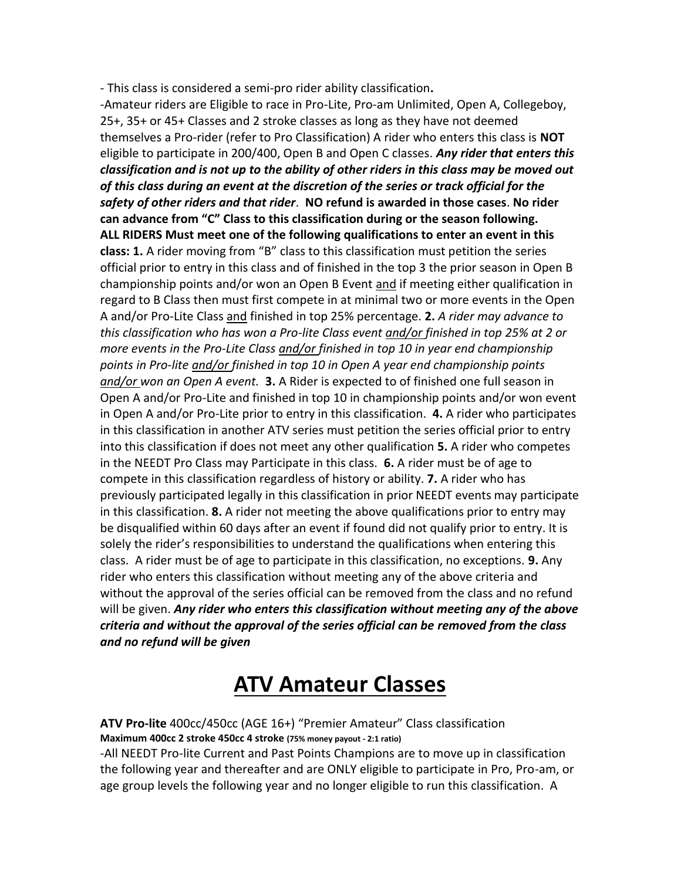- This class is considered a semi-pro rider ability classification**.** 

-Amateur riders are Eligible to race in Pro-Lite, Pro-am Unlimited, Open A, Collegeboy, 25+, 35+ or 45+ Classes and 2 stroke classes as long as they have not deemed themselves a Pro-rider (refer to Pro Classification) A rider who enters this class is **NOT**  eligible to participate in 200/400, Open B and Open C classes. *Any rider that enters this classification and is not up to the ability of other riders in this class may be moved out of this class during an event at the discretion of the series or track official for the safety of other riders and that rider*. **NO refund is awarded in those cases**. **No rider can advance from "C" Class to this classification during or the season following. ALL RIDERS Must meet one of the following qualifications to enter an event in this class: 1.** A rider moving from "B" class to this classification must petition the series official prior to entry in this class and of finished in the top 3 the prior season in Open B championship points and/or won an Open B Event and if meeting either qualification in regard to B Class then must first compete in at minimal two or more events in the Open A and/or Pro-Lite Class and finished in top 25% percentage. **2.** *A rider may advance to this classification who has won a Pro-lite Class event and/or finished in top 25% at 2 or more events in the Pro-Lite Class and/or finished in top 10 in year end championship points in Pro-lite and/or finished in top 10 in Open A year end championship points and/or won an Open A event.* **3.** A Rider is expected to of finished one full season in Open A and/or Pro-Lite and finished in top 10 in championship points and/or won event in Open A and/or Pro-Lite prior to entry in this classification. **4.** A rider who participates in this classification in another ATV series must petition the series official prior to entry into this classification if does not meet any other qualification **5.** A rider who competes in the NEEDT Pro Class may Participate in this class. **6.** A rider must be of age to compete in this classification regardless of history or ability. **7.** A rider who has previously participated legally in this classification in prior NEEDT events may participate in this classification. **8.** A rider not meeting the above qualifications prior to entry may be disqualified within 60 days after an event if found did not qualify prior to entry. It is solely the rider's responsibilities to understand the qualifications when entering this class. A rider must be of age to participate in this classification, no exceptions. **9.** Any rider who enters this classification without meeting any of the above criteria and without the approval of the series official can be removed from the class and no refund will be given. *Any rider who enters this classification without meeting any of the above criteria and without the approval of the series official can be removed from the class and no refund will be given*

## **ATV Amateur Classes**

**ATV Pro-lite** 400cc/450cc (AGE 16+) "Premier Amateur" Class classification **Maximum 400cc 2 stroke 450cc 4 stroke (75% money payout - 2:1 ratio)** -All NEEDT Pro-lite Current and Past Points Champions are to move up in classification the following year and thereafter and are ONLY eligible to participate in Pro, Pro-am, or age group levels the following year and no longer eligible to run this classification. A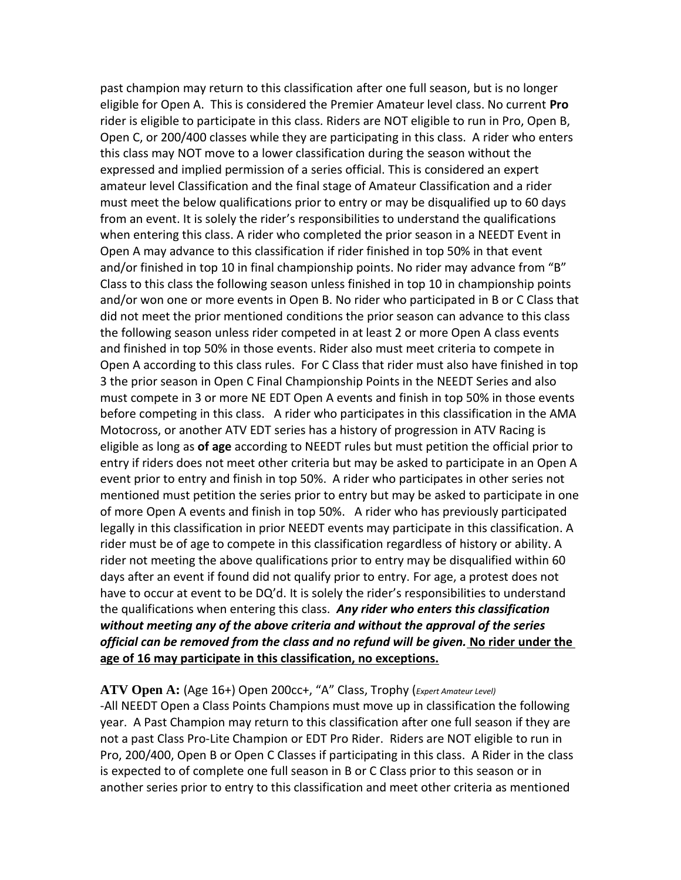past champion may return to this classification after one full season, but is no longer eligible for Open A. This is considered the Premier Amateur level class. No current **Pro** rider is eligible to participate in this class. Riders are NOT eligible to run in Pro, Open B, Open C, or 200/400 classes while they are participating in this class. A rider who enters this class may NOT move to a lower classification during the season without the expressed and implied permission of a series official. This is considered an expert amateur level Classification and the final stage of Amateur Classification and a rider must meet the below qualifications prior to entry or may be disqualified up to 60 days from an event. It is solely the rider's responsibilities to understand the qualifications when entering this class. A rider who completed the prior season in a NEEDT Event in Open A may advance to this classification if rider finished in top 50% in that event and/or finished in top 10 in final championship points. No rider may advance from "B" Class to this class the following season unless finished in top 10 in championship points and/or won one or more events in Open B. No rider who participated in B or C Class that did not meet the prior mentioned conditions the prior season can advance to this class the following season unless rider competed in at least 2 or more Open A class events and finished in top 50% in those events. Rider also must meet criteria to compete in Open A according to this class rules. For C Class that rider must also have finished in top 3 the prior season in Open C Final Championship Points in the NEEDT Series and also must compete in 3 or more NE EDT Open A events and finish in top 50% in those events before competing in this class. A rider who participates in this classification in the AMA Motocross, or another ATV EDT series has a history of progression in ATV Racing is eligible as long as **of age** according to NEEDT rules but must petition the official prior to entry if riders does not meet other criteria but may be asked to participate in an Open A event prior to entry and finish in top 50%. A rider who participates in other series not mentioned must petition the series prior to entry but may be asked to participate in one of more Open A events and finish in top 50%. A rider who has previously participated legally in this classification in prior NEEDT events may participate in this classification. A rider must be of age to compete in this classification regardless of history or ability. A rider not meeting the above qualifications prior to entry may be disqualified within 60 days after an event if found did not qualify prior to entry. For age, a protest does not have to occur at event to be DQ'd. It is solely the rider's responsibilities to understand the qualifications when entering this class. *Any rider who enters this classification without meeting any of the above criteria and without the approval of the series official can be removed from the class and no refund will be given.* **No rider under the age of 16 may participate in this classification, no exceptions.**

**ATV Open A:** (Age 16+) Open 200cc+, "A" Class, Trophy (*Expert Amateur Level)*  -All NEEDT Open a Class Points Champions must move up in classification the following year. A Past Champion may return to this classification after one full season if they are not a past Class Pro-Lite Champion or EDT Pro Rider. Riders are NOT eligible to run in Pro, 200/400, Open B or Open C Classes if participating in this class. A Rider in the class is expected to of complete one full season in B or C Class prior to this season or in another series prior to entry to this classification and meet other criteria as mentioned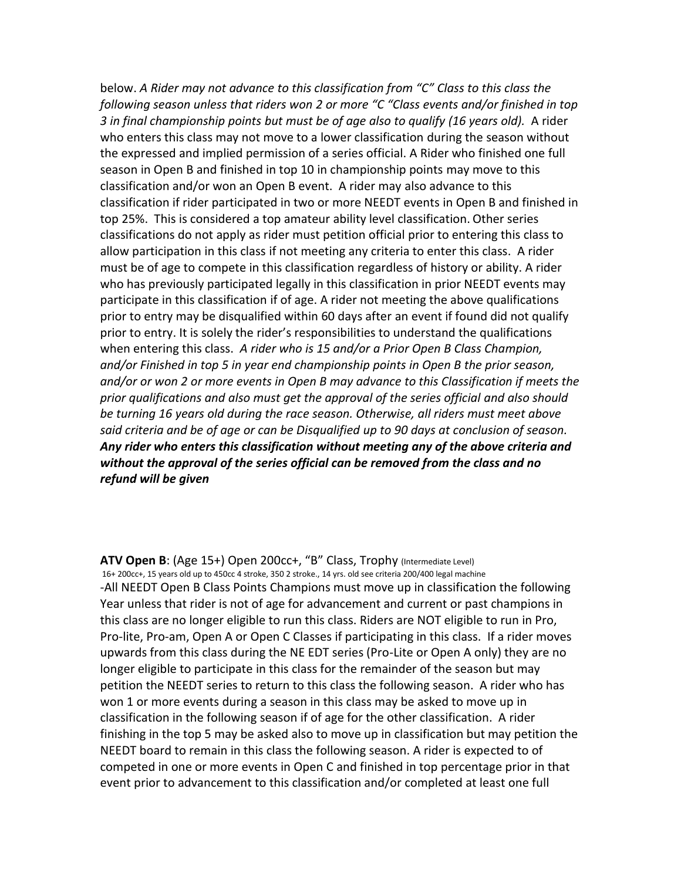below. *A Rider may not advance to this classification from "C" Class to this class the following season unless that riders won 2 or more "C "Class events and/or finished in top 3 in final championship points but must be of age also to qualify (16 years old).* A rider who enters this class may not move to a lower classification during the season without the expressed and implied permission of a series official. A Rider who finished one full season in Open B and finished in top 10 in championship points may move to this classification and/or won an Open B event. A rider may also advance to this classification if rider participated in two or more NEEDT events in Open B and finished in top 25%. This is considered a top amateur ability level classification. Other series classifications do not apply as rider must petition official prior to entering this class to allow participation in this class if not meeting any criteria to enter this class. A rider must be of age to compete in this classification regardless of history or ability. A rider who has previously participated legally in this classification in prior NEEDT events may participate in this classification if of age. A rider not meeting the above qualifications prior to entry may be disqualified within 60 days after an event if found did not qualify prior to entry. It is solely the rider's responsibilities to understand the qualifications when entering this class. *A rider who is 15 and/or a Prior Open B Class Champion, and/or Finished in top 5 in year end championship points in Open B the prior season, and/or or won 2 or more events in Open B may advance to this Classification if meets the prior qualifications and also must get the approval of the series official and also should be turning 16 years old during the race season. Otherwise, all riders must meet above said criteria and be of age or can be Disqualified up to 90 days at conclusion of season. Any rider who enters this classification without meeting any of the above criteria and without the approval of the series official can be removed from the class and no refund will be given*

ATV Open B: (Age 15+) Open 200cc+, "B" Class, Trophy (Intermediate Level) 16+ 200cc+, 15 years old up to 450cc 4 stroke, 350 2 stroke., 14 yrs. old see criteria 200/400 legal machine -All NEEDT Open B Class Points Champions must move up in classification the following Year unless that rider is not of age for advancement and current or past champions in this class are no longer eligible to run this class. Riders are NOT eligible to run in Pro, Pro-lite, Pro-am, Open A or Open C Classes if participating in this class. If a rider moves upwards from this class during the NE EDT series (Pro-Lite or Open A only) they are no longer eligible to participate in this class for the remainder of the season but may petition the NEEDT series to return to this class the following season. A rider who has won 1 or more events during a season in this class may be asked to move up in classification in the following season if of age for the other classification. A rider finishing in the top 5 may be asked also to move up in classification but may petition the NEEDT board to remain in this class the following season. A rider is expected to of competed in one or more events in Open C and finished in top percentage prior in that event prior to advancement to this classification and/or completed at least one full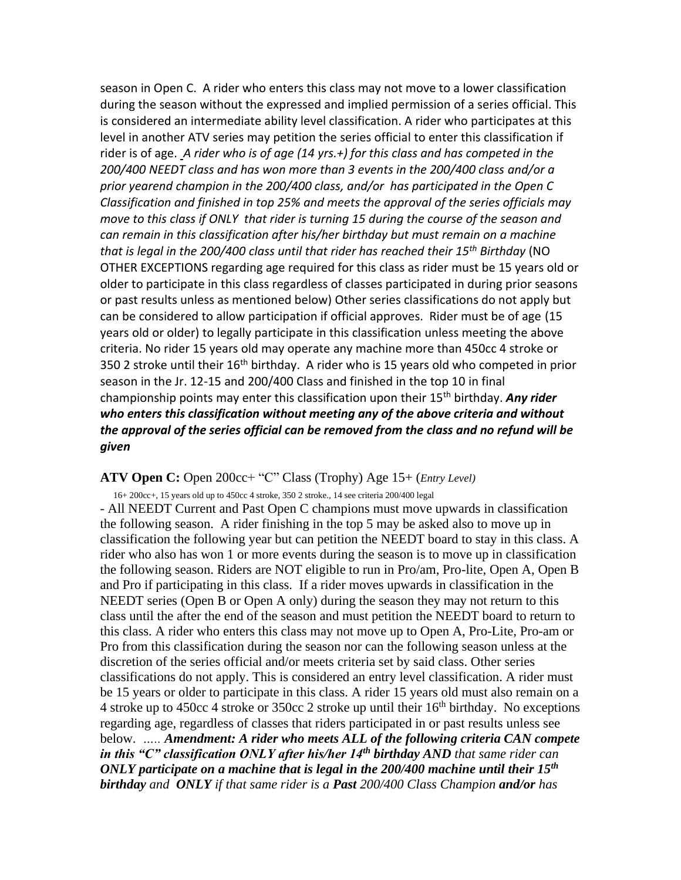season in Open C. A rider who enters this class may not move to a lower classification during the season without the expressed and implied permission of a series official. This is considered an intermediate ability level classification. A rider who participates at this level in another ATV series may petition the series official to enter this classification if rider is of age. *A rider who is of age (14 yrs.+) for this class and has competed in the 200/400 NEEDT class and has won more than 3 events in the 200/400 class and/or a prior yearend champion in the 200/400 class, and/or has participated in the Open C Classification and finished in top 25% and meets the approval of the series officials may move to this class if ONLY that rider is turning 15 during the course of the season and can remain in this classification after his/her birthday but must remain on a machine that is legal in the 200/400 class until that rider has reached their 15th Birthday* (NO OTHER EXCEPTIONS regarding age required for this class as rider must be 15 years old or older to participate in this class regardless of classes participated in during prior seasons or past results unless as mentioned below) Other series classifications do not apply but can be considered to allow participation if official approves. Rider must be of age (15 years old or older) to legally participate in this classification unless meeting the above criteria. No rider 15 years old may operate any machine more than 450cc 4 stroke or 350 2 stroke until their  $16<sup>th</sup>$  birthday. A rider who is 15 years old who competed in prior season in the Jr. 12-15 and 200/400 Class and finished in the top 10 in final championship points may enter this classification upon their 15th birthday. *Any rider who enters this classification without meeting any of the above criteria and without the approval of the series official can be removed from the class and no refund will be given*

#### **ATV Open C:** Open 200cc+ "C" Class (Trophy) Age 15+ (*Entry Level)*

 16+ 200cc+, 15 years old up to 450cc 4 stroke, 350 2 stroke., 14 see criteria 200/400 legal - All NEEDT Current and Past Open C champions must move upwards in classification the following season. A rider finishing in the top 5 may be asked also to move up in classification the following year but can petition the NEEDT board to stay in this class. A rider who also has won 1 or more events during the season is to move up in classification the following season. Riders are NOT eligible to run in Pro/am, Pro-lite, Open A, Open B and Pro if participating in this class. If a rider moves upwards in classification in the NEEDT series (Open B or Open A only) during the season they may not return to this class until the after the end of the season and must petition the NEEDT board to return to this class. A rider who enters this class may not move up to Open A, Pro-Lite, Pro-am or Pro from this classification during the season nor can the following season unless at the discretion of the series official and/or meets criteria set by said class. Other series classifications do not apply. This is considered an entry level classification. A rider must be 15 years or older to participate in this class. A rider 15 years old must also remain on a 4 stroke up to 450cc 4 stroke or 350cc 2 stroke up until their  $16<sup>th</sup>$  birthday. No exceptions regarding age, regardless of classes that riders participated in or past results unless see below. *….. Amendment: A rider who meets ALL of the following criteria CAN compete in this "C" classification ONLY after his/her 14th birthday AND that same rider can ONLY participate on a machine that is legal in the 200/400 machine until their 15th birthday and ONLY if that same rider is a Past 200/400 Class Champion and/or has*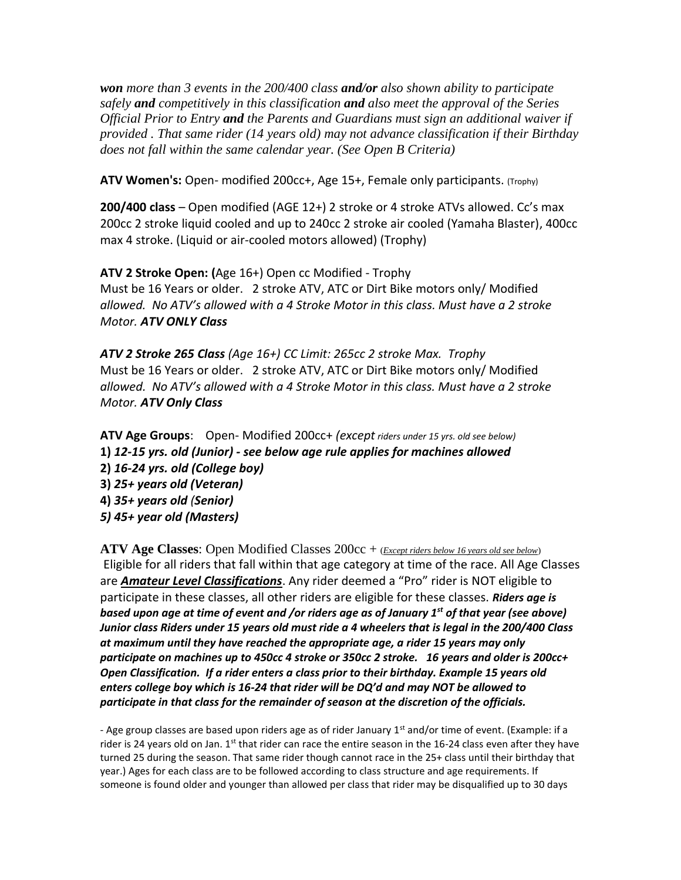*won more than 3 events in the 200/400 class and/or also shown ability to participate safely and competitively in this classification and also meet the approval of the Series Official Prior to Entry and the Parents and Guardians must sign an additional waiver if provided . That same rider (14 years old) may not advance classification if their Birthday does not fall within the same calendar year. (See Open B Criteria)* 

**ATV Women's:** Open- modified 200cc+, Age 15+, Female only participants. (Trophy)

**200/400 class** – Open modified (AGE 12+) 2 stroke or 4 stroke ATVs allowed. Cc's max 200cc 2 stroke liquid cooled and up to 240cc 2 stroke air cooled (Yamaha Blaster), 400cc max 4 stroke. (Liquid or air-cooled motors allowed) (Trophy)

**ATV 2 Stroke Open: (**Age 16+) Open cc Modified - Trophy Must be 16 Years or older. 2 stroke ATV, ATC or Dirt Bike motors only/ Modified *allowed. No ATV's allowed with a 4 Stroke Motor in this class. Must have a 2 stroke Motor. ATV ONLY Class*

*ATV 2 Stroke 265 Class (Age 16+) CC Limit: 265cc 2 stroke Max. Trophy* Must be 16 Years or older. 2 stroke ATV, ATC or Dirt Bike motors only/ Modified *allowed. No ATV's allowed with a 4 Stroke Motor in this class. Must have a 2 stroke Motor. ATV Only Class*

**ATV Age Groups**: Open- Modified 200cc+ *(except riders under 15 yrs. old see below)* **1)** *12-15 yrs. old (Junior) - see below age rule applies for machines allowed*  **2)** *16-24 yrs. old (College boy)*  **3)** *25+ years old (Veteran)*  **4)** *35+ years old (Senior) 5) 45+ year old (Masters)*

**ATV Age Classes**: Open Modified Classes 200cc + (*Except riders below 16 years old see below*) Eligible for all riders that fall within that age category at time of the race. All Age Classes are *Amateur Level Classifications*. Any rider deemed a "Pro" rider is NOT eligible to participate in these classes, all other riders are eligible for these classes. *Riders age is based upon age at time of event and /or riders age as of January 1st of that year (see above) Junior class Riders under 15 years old must ride a 4 wheelers that is legal in the 200/400 Class at maximum until they have reached the appropriate age, a rider 15 years may only participate on machines up to 450cc 4 stroke or 350cc 2 stroke. 16 years and older is 200cc+ Open Classification. If a rider enters a class prior to their birthday. Example 15 years old enters college boy which is 16-24 that rider will be DQ'd and may NOT be allowed to participate in that class for the remainder of season at the discretion of the officials.* 

- Age group classes are based upon riders age as of rider January  $1^{st}$  and/or time of event. (Example: if a rider is 24 years old on Jan. 1<sup>st</sup> that rider can race the entire season in the 16-24 class even after they have turned 25 during the season. That same rider though cannot race in the 25+ class until their birthday that year.) Ages for each class are to be followed according to class structure and age requirements. If someone is found older and younger than allowed per class that rider may be disqualified up to 30 days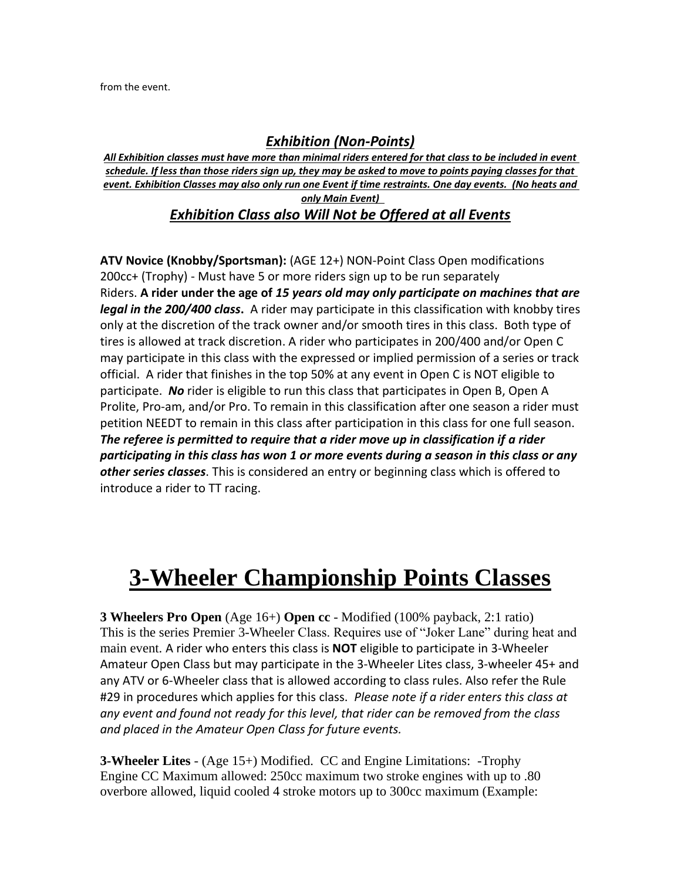from the event.

### *Exhibition (Non-Points)*

*All Exhibition classes must have more than minimal riders entered for that class to be included in event schedule. If less than those riders sign up, they may be asked to move to points paying classes for that event. Exhibition Classes may also only run one Event if time restraints. One day events. (No heats and only Main Event)* 

*Exhibition Class also Will Not be Offered at all Events*

**ATV Novice (Knobby/Sportsman):** (AGE 12+) NON-Point Class Open modifications 200cc+ (Trophy) - Must have 5 or more riders sign up to be run separately Riders. **A rider under the age of** *15 years old may only participate on machines that are legal in the 200/400 class***.** A rider may participate in this classification with knobby tires only at the discretion of the track owner and/or smooth tires in this class. Both type of tires is allowed at track discretion. A rider who participates in 200/400 and/or Open C may participate in this class with the expressed or implied permission of a series or track official. A rider that finishes in the top 50% at any event in Open C is NOT eligible to participate. *No* rider is eligible to run this class that participates in Open B, Open A Prolite, Pro-am, and/or Pro. To remain in this classification after one season a rider must petition NEEDT to remain in this class after participation in this class for one full season. *The referee is permitted to require that a rider move up in classification if a rider participating in this class has won 1 or more events during a season in this class or any other series classes*. This is considered an entry or beginning class which is offered to introduce a rider to TT racing.

# **3-Wheeler Championship Points Classes**

**3 Wheelers Pro Open** (Age 16+) **Open cc** - Modified (100% payback, 2:1 ratio) This is the series Premier 3-Wheeler Class. Requires use of "Joker Lane" during heat and main event. A rider who enters this class is **NOT** eligible to participate in 3-Wheeler Amateur Open Class but may participate in the 3-Wheeler Lites class, 3-wheeler 45+ and any ATV or 6-Wheeler class that is allowed according to class rules. Also refer the Rule #29 in procedures which applies for this class. *Please note if a rider enters this class at any event and found not ready for this level, that rider can be removed from the class and placed in the Amateur Open Class for future events.* 

**3-Wheeler Lites** - (Age 15+) Modified. CC and Engine Limitations: -Trophy Engine CC Maximum allowed: 250cc maximum two stroke engines with up to .80 overbore allowed, liquid cooled 4 stroke motors up to 300cc maximum (Example: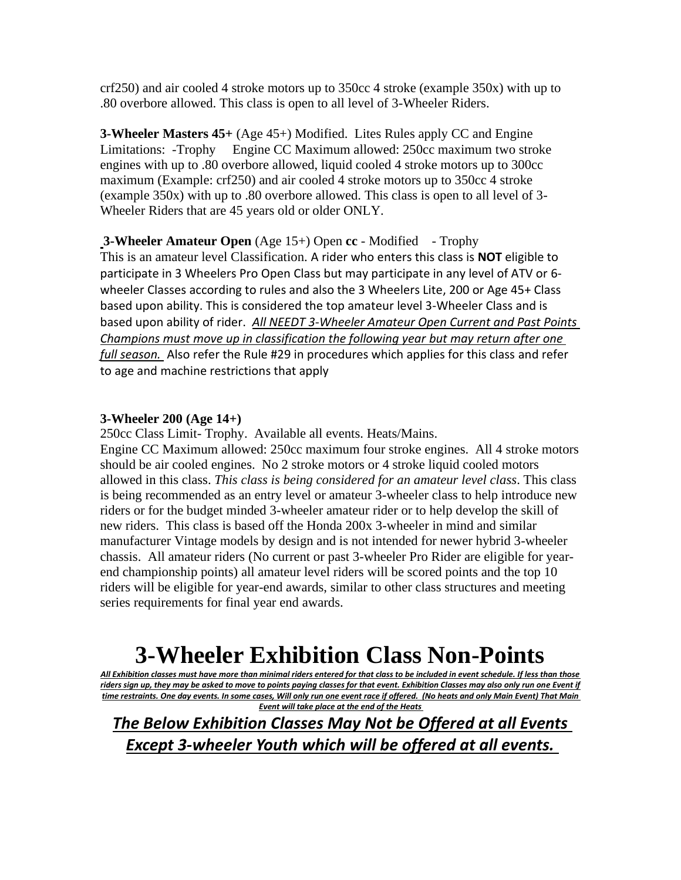crf250) and air cooled 4 stroke motors up to 350cc 4 stroke (example 350x) with up to .80 overbore allowed. This class is open to all level of 3-Wheeler Riders.

**3-Wheeler Masters 45+** (Age 45+) Modified. Lites Rules apply CC and Engine Limitations: -Trophy Engine CC Maximum allowed: 250cc maximum two stroke engines with up to .80 overbore allowed, liquid cooled 4 stroke motors up to 300cc maximum (Example: crf250) and air cooled 4 stroke motors up to 350cc 4 stroke (example 350x) with up to .80 overbore allowed. This class is open to all level of 3- Wheeler Riders that are 45 years old or older ONLY.

**3-Wheeler Amateur Open** (Age 15+) Open **cc** - Modified - Trophy This is an amateur level Classification. A rider who enters this class is **NOT** eligible to participate in 3 Wheelers Pro Open Class but may participate in any level of ATV or 6 wheeler Classes according to rules and also the 3 Wheelers Lite, 200 or Age 45+ Class based upon ability. This is considered the top amateur level 3-Wheeler Class and is based upon ability of rider. *All NEEDT 3-Wheeler Amateur Open Current and Past Points Champions must move up in classification the following year but may return after one full season.* Also refer the Rule #29 in procedures which applies for this class and refer to age and machine restrictions that apply

#### **3-Wheeler 200 (Age 14+)**

250cc Class Limit- Trophy. Available all events. Heats/Mains. Engine CC Maximum allowed: 250cc maximum four stroke engines. All 4 stroke motors should be air cooled engines. No 2 stroke motors or 4 stroke liquid cooled motors allowed in this class. *This class is being considered for an amateur level class*. This class is being recommended as an entry level or amateur 3-wheeler class to help introduce new riders or for the budget minded 3-wheeler amateur rider or to help develop the skill of new riders. This class is based off the Honda 200x 3-wheeler in mind and similar manufacturer Vintage models by design and is not intended for newer hybrid 3-wheeler chassis. All amateur riders (No current or past 3-wheeler Pro Rider are eligible for yearend championship points) all amateur level riders will be scored points and the top 10 riders will be eligible for year-end awards, similar to other class structures and meeting series requirements for final year end awards.

# **3-Wheeler Exhibition Class Non-Points**

*All Exhibition classes must have more than minimal riders entered for that class to be included in event schedule. If less than those riders sign up, they may be asked to move to points paying classes for that event. Exhibition Classes may also only run one Event if time restraints. One day events. In some cases, Will only run one event race if offered. (No heats and only Main Event) That Main Event will take place at the end of the Heats*

*The Below Exhibition Classes May Not be Offered at all Events Except 3-wheeler Youth which will be offered at all events.*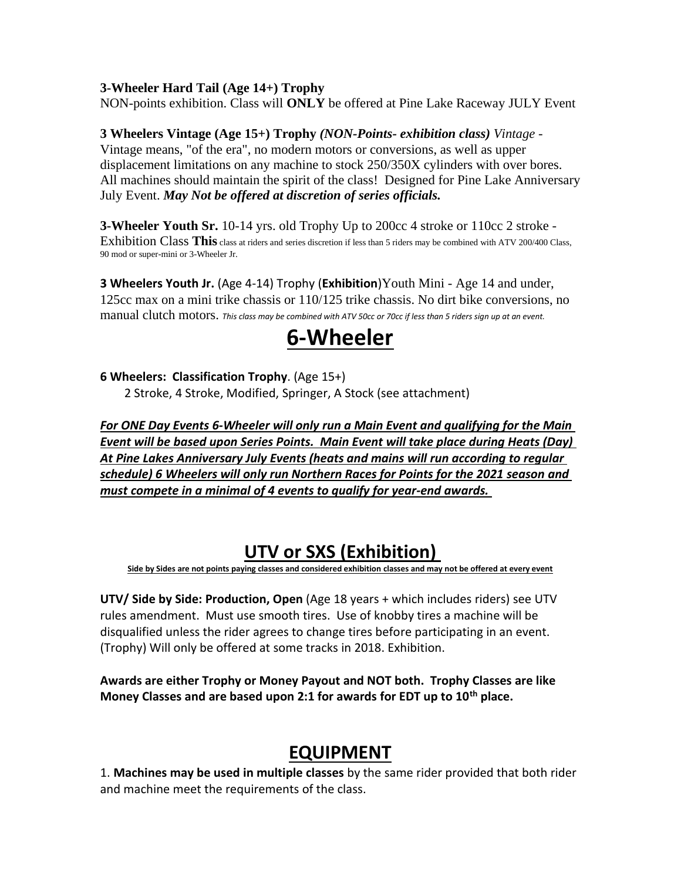#### **3-Wheeler Hard Tail (Age 14+) Trophy**

NON-points exhibition. Class will **ONLY** be offered at Pine Lake Raceway JULY Event

#### **3 Wheelers Vintage (Age 15+) Trophy** *(NON-Points- exhibition class) Vintage* -

Vintage means, "of the era", no modern motors or conversions, as well as upper displacement limitations on any machine to stock 250/350X cylinders with over bores. All machines should maintain the spirit of the class! Designed for Pine Lake Anniversary July Event. *May Not be offered at discretion of series officials.*

**3-Wheeler Youth Sr.** 10-14 yrs. old Trophy Up to 200cc 4 stroke or 110cc 2 stroke -Exhibition Class This class at riders and series discretion if less than 5 riders may be combined with ATV 200/400 Class, 90 mod or super-mini or 3-Wheeler Jr.

**3 Wheelers Youth Jr.** (Age 4-14) Trophy (**Exhibition**)Youth Mini - Age 14 and under, 125cc max on a mini trike chassis or 110/125 trike chassis. No dirt bike conversions, no manual clutch motors. *This class may be combined with ATV 50cc or 70cc if less than 5 riders sign up at an event.* 

## **6-Wheeler**

#### **6 Wheelers: Classification Trophy**. (Age 15+)

2 Stroke, 4 Stroke, Modified, Springer, A Stock (see attachment)

*For ONE Day Events 6-Wheeler will only run a Main Event and qualifying for the Main Event will be based upon Series Points. Main Event will take place during Heats (Day) At Pine Lakes Anniversary July Events (heats and mains will run according to regular schedule) 6 Wheelers will only run Northern Races for Points for the 2021 season and must compete in a minimal of 4 events to qualify for year-end awards.* 

## **UTV or SXS (Exhibition)**

**Side by Sides are not points paying classes and considered exhibition classes and may not be offered at every event**

**UTV/ Side by Side: Production, Open** (Age 18 years + which includes riders) see UTV rules amendment. Must use smooth tires. Use of knobby tires a machine will be disqualified unless the rider agrees to change tires before participating in an event. (Trophy) Will only be offered at some tracks in 2018. Exhibition.

**Awards are either Trophy or Money Payout and NOT both. Trophy Classes are like Money Classes and are based upon 2:1 for awards for EDT up to 10th place.** 

## **EQUIPMENT**

1. **Machines may be used in multiple classes** by the same rider provided that both rider and machine meet the requirements of the class.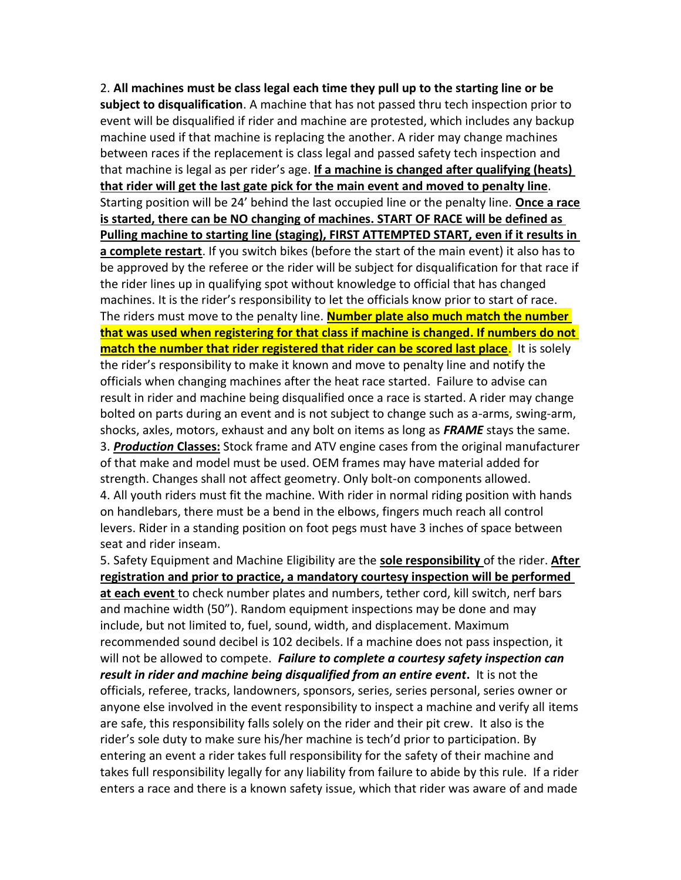2. **All machines must be class legal each time they pull up to the starting line or be subject to disqualification**. A machine that has not passed thru tech inspection prior to event will be disqualified if rider and machine are protested, which includes any backup machine used if that machine is replacing the another. A rider may change machines between races if the replacement is class legal and passed safety tech inspection and that machine is legal as per rider's age. **If a machine is changed after qualifying (heats) that rider will get the last gate pick for the main event and moved to penalty line**. Starting position will be 24' behind the last occupied line or the penalty line. **Once a race is started, there can be NO changing of machines. START OF RACE will be defined as Pulling machine to starting line (staging), FIRST ATTEMPTED START, even if it results in a complete restart**. If you switch bikes (before the start of the main event) it also has to be approved by the referee or the rider will be subject for disqualification for that race if the rider lines up in qualifying spot without knowledge to official that has changed machines. It is the rider's responsibility to let the officials know prior to start of race. The riders must move to the penalty line. **Number plate also much match the number that was used when registering for that class if machine is changed. If numbers do not match the number that rider registered that rider can be scored last place**. It is solely the rider's responsibility to make it known and move to penalty line and notify the officials when changing machines after the heat race started. Failure to advise can result in rider and machine being disqualified once a race is started. A rider may change bolted on parts during an event and is not subject to change such as a-arms, swing-arm, shocks, axles, motors, exhaust and any bolt on items as long as *FRAME* stays the same. 3. *Production* **Classes:** Stock frame and ATV engine cases from the original manufacturer of that make and model must be used. OEM frames may have material added for strength. Changes shall not affect geometry. Only bolt-on components allowed. 4. All youth riders must fit the machine. With rider in normal riding position with hands on handlebars, there must be a bend in the elbows, fingers much reach all control levers. Rider in a standing position on foot pegs must have 3 inches of space between seat and rider inseam.

5. Safety Equipment and Machine Eligibility are the **sole responsibility** of the rider. **After registration and prior to practice, a mandatory courtesy inspection will be performed** 

**at each event** to check number plates and numbers, tether cord, kill switch, nerf bars and machine width (50"). Random equipment inspections may be done and may include, but not limited to, fuel, sound, width, and displacement. Maximum recommended sound decibel is 102 decibels. If a machine does not pass inspection, it will not be allowed to compete. *Failure to complete a courtesy safety inspection can result in rider and machine being disqualified from an entire event***.** It is not the officials, referee, tracks, landowners, sponsors, series, series personal, series owner or anyone else involved in the event responsibility to inspect a machine and verify all items are safe, this responsibility falls solely on the rider and their pit crew. It also is the rider's sole duty to make sure his/her machine is tech'd prior to participation. By entering an event a rider takes full responsibility for the safety of their machine and takes full responsibility legally for any liability from failure to abide by this rule. If a rider enters a race and there is a known safety issue, which that rider was aware of and made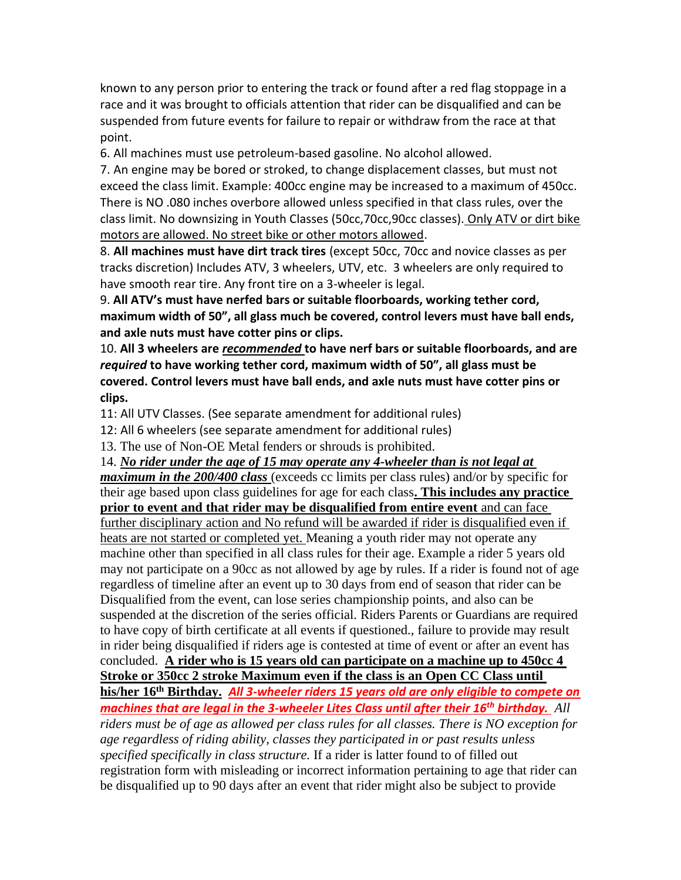known to any person prior to entering the track or found after a red flag stoppage in a race and it was brought to officials attention that rider can be disqualified and can be suspended from future events for failure to repair or withdraw from the race at that point.

6. All machines must use petroleum-based gasoline. No alcohol allowed.

7. An engine may be bored or stroked, to change displacement classes, but must not exceed the class limit. Example: 400cc engine may be increased to a maximum of 450cc. There is NO .080 inches overbore allowed unless specified in that class rules, over the class limit. No downsizing in Youth Classes (50cc,70cc,90cc classes). Only ATV or dirt bike motors are allowed. No street bike or other motors allowed.

8. **All machines must have dirt track tires** (except 50cc, 70cc and novice classes as per tracks discretion) Includes ATV, 3 wheelers, UTV, etc. 3 wheelers are only required to have smooth rear tire. Any front tire on a 3-wheeler is legal.

9. **All ATV's must have nerfed bars or suitable floorboards, working tether cord, maximum width of 50", all glass much be covered, control levers must have ball ends, and axle nuts must have cotter pins or clips.**

10. **All 3 wheelers are** *recommended* **to have nerf bars or suitable floorboards, and are**  *required* **to have working tether cord, maximum width of 50", all glass must be covered. Control levers must have ball ends, and axle nuts must have cotter pins or clips.** 

11: All UTV Classes. (See separate amendment for additional rules)

12: All 6 wheelers (see separate amendment for additional rules)

13. The use of Non-OE Metal fenders or shrouds is prohibited.

14. *No rider under the age of 15 may operate any 4-wheeler than is not legal at maximum in the 200/400 class* (exceeds cc limits per class rules) and/or by specific for their age based upon class guidelines for age for each class**. This includes any practice prior to event and that rider may be disqualified from entire event** and can face further disciplinary action and No refund will be awarded if rider is disqualified even if heats are not started or completed yet. Meaning a youth rider may not operate any machine other than specified in all class rules for their age. Example a rider 5 years old may not participate on a 90cc as not allowed by age by rules. If a rider is found not of age regardless of timeline after an event up to 30 days from end of season that rider can be Disqualified from the event, can lose series championship points, and also can be suspended at the discretion of the series official. Riders Parents or Guardians are required to have copy of birth certificate at all events if questioned., failure to provide may result in rider being disqualified if riders age is contested at time of event or after an event has concluded. **A rider who is 15 years old can participate on a machine up to 450cc 4 Stroke or 350cc 2 stroke Maximum even if the class is an Open CC Class until his/her 16th Birthday.** *All 3-wheeler riders 15 years old are only eligible to compete on machines that are legal in the 3-wheeler Lites Class until after their 16th birthday. All riders must be of age as allowed per class rules for all classes. There is NO exception for age regardless of riding ability, classes they participated in or past results unless specified specifically in class structure.* If a rider is latter found to of filled out registration form with misleading or incorrect information pertaining to age that rider can be disqualified up to 90 days after an event that rider might also be subject to provide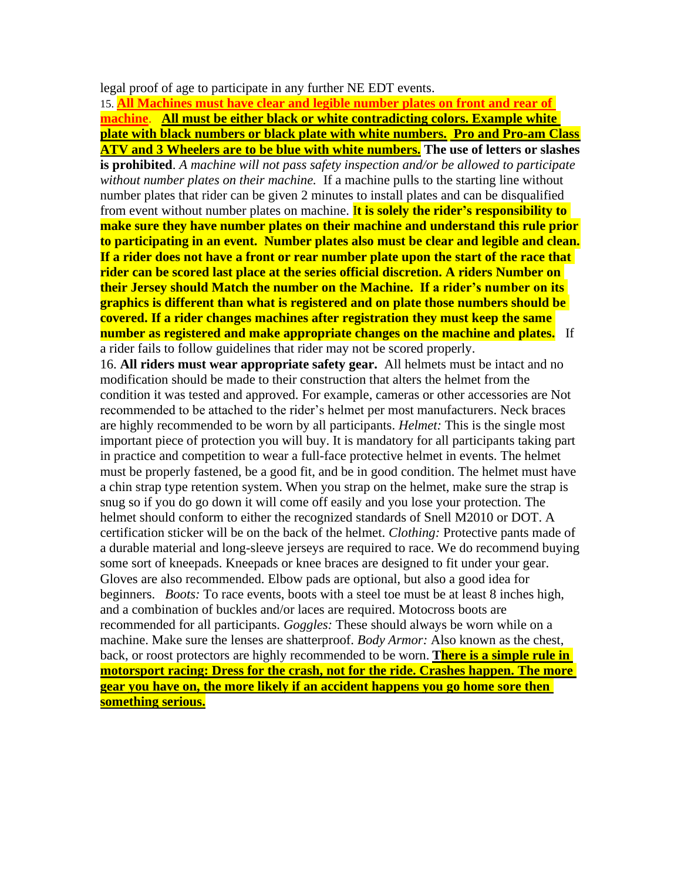legal proof of age to participate in any further NE EDT events.

15. **All Machines must have clear and legible number plates on front and rear of machine**. **All must be either black or white contradicting colors. Example white plate with black numbers or black plate with white numbers. Pro and Pro-am Class ATV and 3 Wheelers are to be blue with white numbers. The use of letters or slashes is prohibited**. *A machine will not pass safety inspection and/or be allowed to participate without number plates on their machine.* If a machine pulls to the starting line without number plates that rider can be given 2 minutes to install plates and can be disqualified from event without number plates on machine. I**t is solely the rider's responsibility to make sure they have number plates on their machine and understand this rule prior to participating in an event. Number plates also must be clear and legible and clean. If a rider does not have a front or rear number plate upon the start of the race that rider can be scored last place at the series official discretion. A riders Number on their Jersey should Match the number on the Machine. If a rider's number on its graphics is different than what is registered and on plate those numbers should be covered. If a rider changes machines after registration they must keep the same number as registered and make appropriate changes on the machine and plates.** If a rider fails to follow guidelines that rider may not be scored properly. 16. **All riders must wear appropriate safety gear.** All helmets must be intact and no modification should be made to their construction that alters the helmet from the condition it was tested and approved. For example, cameras or other accessories are Not recommended to be attached to the rider's helmet per most manufacturers. Neck braces are highly recommended to be worn by all participants. *Helmet:* This is the single most important piece of protection you will buy. It is mandatory for all participants taking part in practice and competition to wear a full-face protective helmet in events. The helmet must be properly fastened, be a good fit, and be in good condition. The helmet must have a chin strap type retention system. When you strap on the helmet, make sure the strap is snug so if you do go down it will come off easily and you lose your protection. The helmet should conform to either the recognized standards of Snell M2010 or DOT. A certification sticker will be on the back of the helmet. *Clothing:* Protective pants made of a durable material and long-sleeve jerseys are required to race. We do recommend buying some sort of kneepads. Kneepads or knee braces are designed to fit under your gear. Gloves are also recommended. Elbow pads are optional, but also a good idea for beginners. *Boots:* To race events, boots with a steel toe must be at least 8 inches high, and a combination of buckles and/or laces are required. Motocross boots are recommended for all participants. *Goggles:* These should always be worn while on a machine. Make sure the lenses are shatterproof. *Body Armor:* Also known as the chest, back, or roost protectors are highly recommended to be worn. **There is a simple rule in motorsport racing: Dress for the crash, not for the ride. Crashes happen. The more gear you have on, the more likely if an accident happens you go home sore then something serious.**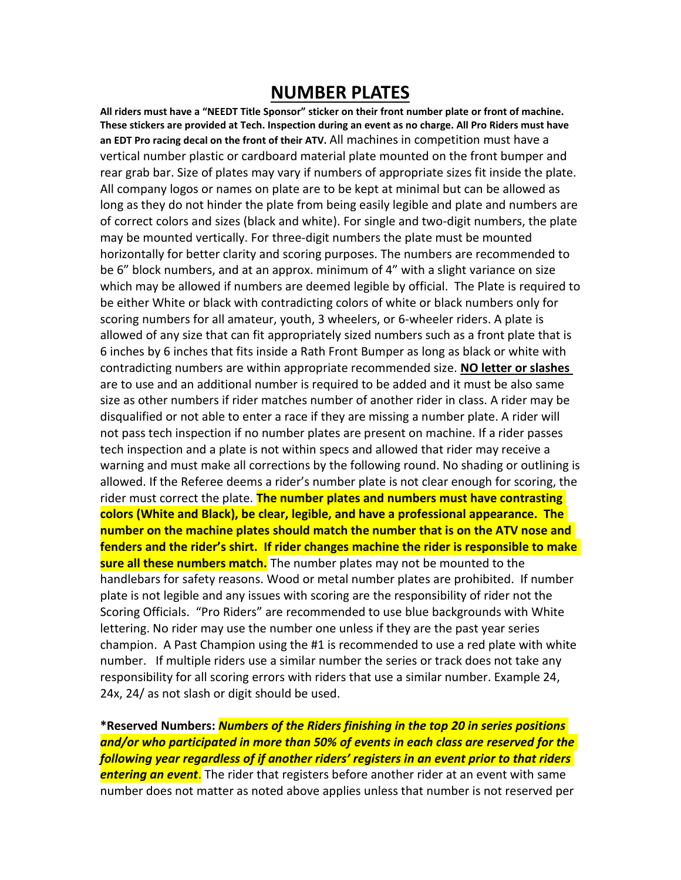## **NUMBER PLATES**

**All riders must have a "NEEDT Title Sponsor" sticker on their front number plate or front of machine. These stickers are provided at Tech. Inspection during an event as no charge. All Pro Riders must have an EDT Pro racing decal on the front of their ATV.** All machines in competition must have a vertical number plastic or cardboard material plate mounted on the front bumper and rear grab bar. Size of plates may vary if numbers of appropriate sizes fit inside the plate. All company logos or names on plate are to be kept at minimal but can be allowed as long as they do not hinder the plate from being easily legible and plate and numbers are of correct colors and sizes (black and white). For single and two-digit numbers, the plate may be mounted vertically. For three-digit numbers the plate must be mounted horizontally for better clarity and scoring purposes. The numbers are recommended to be 6" block numbers, and at an approx. minimum of 4" with a slight variance on size which may be allowed if numbers are deemed legible by official. The Plate is required to be either White or black with contradicting colors of white or black numbers only for scoring numbers for all amateur, youth, 3 wheelers, or 6-wheeler riders. A plate is allowed of any size that can fit appropriately sized numbers such as a front plate that is 6 inches by 6 inches that fits inside a Rath Front Bumper as long as black or white with contradicting numbers are within appropriate recommended size. **NO letter or slashes**  are to use and an additional number is required to be added and it must be also same size as other numbers if rider matches number of another rider in class. A rider may be disqualified or not able to enter a race if they are missing a number plate. A rider will not pass tech inspection if no number plates are present on machine. If a rider passes tech inspection and a plate is not within specs and allowed that rider may receive a warning and must make all corrections by the following round. No shading or outlining is allowed. If the Referee deems a rider's number plate is not clear enough for scoring, the rider must correct the plate. **The number plates and numbers must have contrasting colors (White and Black), be clear, legible, and have a professional appearance. The number on the machine plates should match the number that is on the ATV nose and fenders and the rider's shirt. If rider changes machine the rider is responsible to make sure all these numbers match.** The number plates may not be mounted to the handlebars for safety reasons. Wood or metal number plates are prohibited. If number plate is not legible and any issues with scoring are the responsibility of rider not the Scoring Officials. "Pro Riders" are recommended to use blue backgrounds with White lettering. No rider may use the number one unless if they are the past year series champion. A Past Champion using the #1 is recommended to use a red plate with white number. If multiple riders use a similar number the series or track does not take any responsibility for all scoring errors with riders that use a similar number. Example 24, 24x, 24/ as not slash or digit should be used.

**\*Reserved Numbers:** *Numbers of the Riders finishing in the top 20 in series positions and/or who participated in more than 50% of events in each class are reserved for the following year regardless of if another riders' registers in an event prior to that riders entering an event*. The rider that registers before another rider at an event with same number does not matter as noted above applies unless that number is not reserved per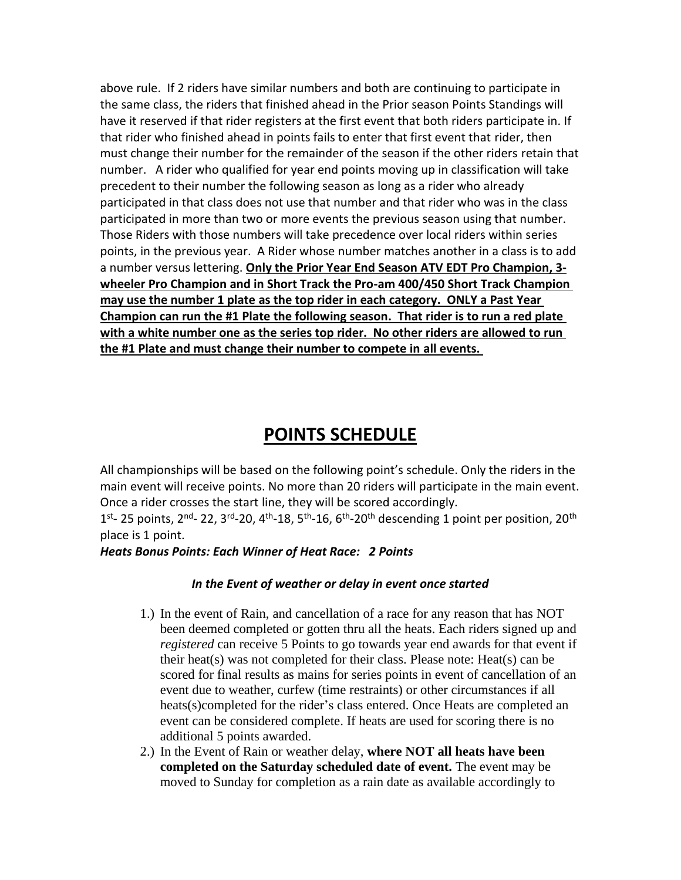above rule. If 2 riders have similar numbers and both are continuing to participate in the same class, the riders that finished ahead in the Prior season Points Standings will have it reserved if that rider registers at the first event that both riders participate in. If that rider who finished ahead in points fails to enter that first event that rider, then must change their number for the remainder of the season if the other riders retain that number. A rider who qualified for year end points moving up in classification will take precedent to their number the following season as long as a rider who already participated in that class does not use that number and that rider who was in the class participated in more than two or more events the previous season using that number. Those Riders with those numbers will take precedence over local riders within series points, in the previous year. A Rider whose number matches another in a class is to add a number versus lettering. **Only the Prior Year End Season ATV EDT Pro Champion, 3 wheeler Pro Champion and in Short Track the Pro-am 400/450 Short Track Champion may use the number 1 plate as the top rider in each category. ONLY a Past Year Champion can run the #1 Plate the following season. That rider is to run a red plate with a white number one as the series top rider. No other riders are allowed to run the #1 Plate and must change their number to compete in all events.** 

## **POINTS SCHEDULE**

All championships will be based on the following point's schedule. Only the riders in the main event will receive points. No more than 20 riders will participate in the main event. Once a rider crosses the start line, they will be scored accordingly.

1<sup>st</sup>- 25 points, 2<sup>nd</sup>- 22, 3<sup>rd</sup>-20, 4<sup>th</sup>-18, 5<sup>th</sup>-16, 6<sup>th</sup>-20<sup>th</sup> descending 1 point per position, 20<sup>th</sup> place is 1 point.

*Heats Bonus Points: Each Winner of Heat Race: 2 Points*

#### *In the Event of weather or delay in event once started*

- 1.) In the event of Rain, and cancellation of a race for any reason that has NOT been deemed completed or gotten thru all the heats. Each riders signed up and *registered* can receive 5 Points to go towards year end awards for that event if their heat(s) was not completed for their class. Please note: Heat(s) can be scored for final results as mains for series points in event of cancellation of an event due to weather, curfew (time restraints) or other circumstances if all heats(s)completed for the rider's class entered. Once Heats are completed an event can be considered complete. If heats are used for scoring there is no additional 5 points awarded.
- 2.) In the Event of Rain or weather delay, **where NOT all heats have been completed on the Saturday scheduled date of event.** The event may be moved to Sunday for completion as a rain date as available accordingly to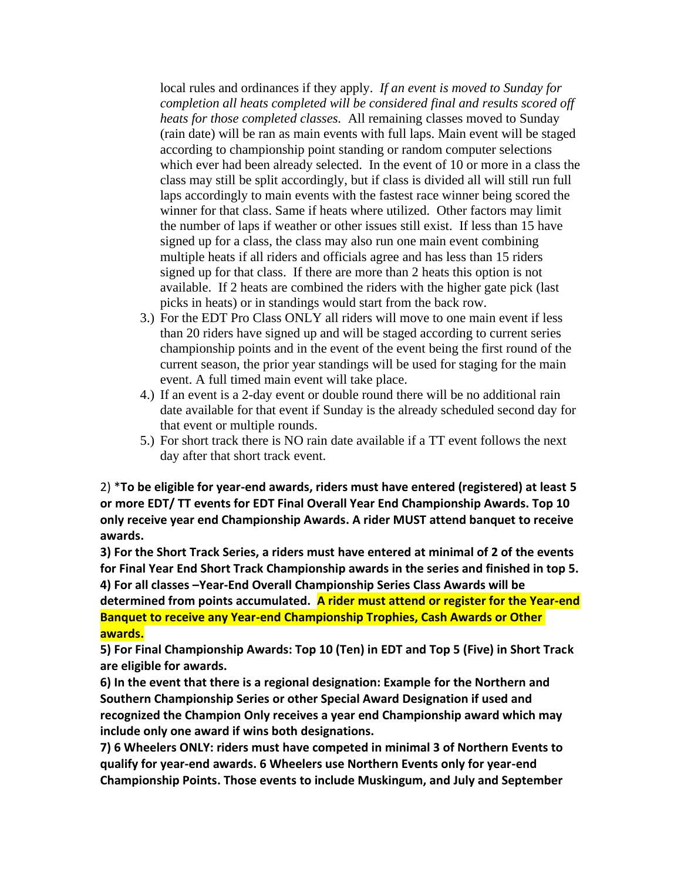local rules and ordinances if they apply. *If an event is moved to Sunday for completion all heats completed will be considered final and results scored off heats for those completed classes.* All remaining classes moved to Sunday (rain date) will be ran as main events with full laps. Main event will be staged according to championship point standing or random computer selections which ever had been already selected. In the event of 10 or more in a class the class may still be split accordingly, but if class is divided all will still run full laps accordingly to main events with the fastest race winner being scored the winner for that class. Same if heats where utilized. Other factors may limit the number of laps if weather or other issues still exist. If less than 15 have signed up for a class, the class may also run one main event combining multiple heats if all riders and officials agree and has less than 15 riders signed up for that class. If there are more than 2 heats this option is not available. If 2 heats are combined the riders with the higher gate pick (last picks in heats) or in standings would start from the back row.

- 3.) For the EDT Pro Class ONLY all riders will move to one main event if less than 20 riders have signed up and will be staged according to current series championship points and in the event of the event being the first round of the current season, the prior year standings will be used for staging for the main event. A full timed main event will take place.
- 4.) If an event is a 2-day event or double round there will be no additional rain date available for that event if Sunday is the already scheduled second day for that event or multiple rounds.
- 5.) For short track there is NO rain date available if a TT event follows the next day after that short track event.

2) \***To be eligible for year-end awards, riders must have entered (registered) at least 5 or more EDT/ TT events for EDT Final Overall Year End Championship Awards. Top 10 only receive year end Championship Awards. A rider MUST attend banquet to receive awards.**

**3) For the Short Track Series, a riders must have entered at minimal of 2 of the events for Final Year End Short Track Championship awards in the series and finished in top 5. 4) For all classes –Year-End Overall Championship Series Class Awards will be**

**determined from points accumulated. A rider must attend or register for the Year-end Banquet to receive any Year-end Championship Trophies, Cash Awards or Other awards.**

**5) For Final Championship Awards: Top 10 (Ten) in EDT and Top 5 (Five) in Short Track are eligible for awards.**

**6) In the event that there is a regional designation: Example for the Northern and Southern Championship Series or other Special Award Designation if used and recognized the Champion Only receives a year end Championship award which may include only one award if wins both designations.**

**7) 6 Wheelers ONLY: riders must have competed in minimal 3 of Northern Events to qualify for year-end awards. 6 Wheelers use Northern Events only for year-end Championship Points. Those events to include Muskingum, and July and September**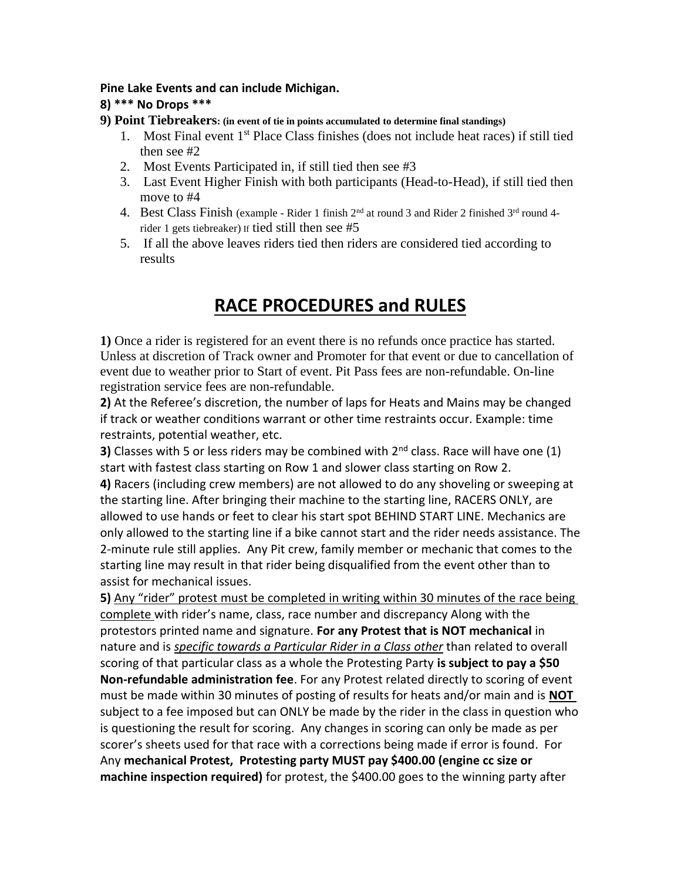#### **Pine Lake Events and can include Michigan.**

#### **8) \*\*\* No Drops \*\*\***

- **9) Point Tiebreakers: (in event of tie in points accumulated to determine final standings)** 
	- 1. Most Final event 1<sup>st</sup> Place Class finishes (does not include heat races) if still tied then see #2
	- 2. Most Events Participated in, if still tied then see #3
	- 3. Last Event Higher Finish with both participants (Head-to-Head), if still tied then move to #4
	- 4. Best Class Finish (example Rider 1 finish  $2<sup>nd</sup>$  at round 3 and Rider 2 finished  $3<sup>rd</sup>$  round 4rider 1 gets tiebreaker) If tied still then see #5
	- 5. If all the above leaves riders tied then riders are considered tied according to results

## **RACE PROCEDURES and RULES**

**1)** Once a rider is registered for an event there is no refunds once practice has started. Unless at discretion of Track owner and Promoter for that event or due to cancellation of event due to weather prior to Start of event. Pit Pass fees are non-refundable. On-line registration service fees are non-refundable.

**2)** At the Referee's discretion, the number of laps for Heats and Mains may be changed if track or weather conditions warrant or other time restraints occur. Example: time restraints, potential weather, etc.

**3)** Classes with 5 or less riders may be combined with 2<sup>nd</sup> class. Race will have one (1) start with fastest class starting on Row 1 and slower class starting on Row 2.

**4)** Racers (including crew members) are not allowed to do any shoveling or sweeping at the starting line. After bringing their machine to the starting line, RACERS ONLY, are allowed to use hands or feet to clear his start spot BEHIND START LINE. Mechanics are only allowed to the starting line if a bike cannot start and the rider needs assistance. The 2-minute rule still applies. Any Pit crew, family member or mechanic that comes to the starting line may result in that rider being disqualified from the event other than to assist for mechanical issues.

**5)** Any "rider" protest must be completed in writing within 30 minutes of the race being complete with rider's name, class, race number and discrepancy Along with the protestors printed name and signature. **For any Protest that is NOT mechanical** in nature and is *specific towards a Particular Rider in a Class other* than related to overall scoring of that particular class as a whole the Protesting Party **is subject to pay a \$50 Non-refundable administration fee**. For any Protest related directly to scoring of event must be made within 30 minutes of posting of results for heats and/or main and is **NOT**  subject to a fee imposed but can ONLY be made by the rider in the class in question who is questioning the result for scoring. Any changes in scoring can only be made as per scorer's sheets used for that race with a corrections being made if error is found. For Any **mechanical Protest, Protesting party MUST pay \$400.00 (engine cc size or machine inspection required)** for protest, the \$400.00 goes to the winning party after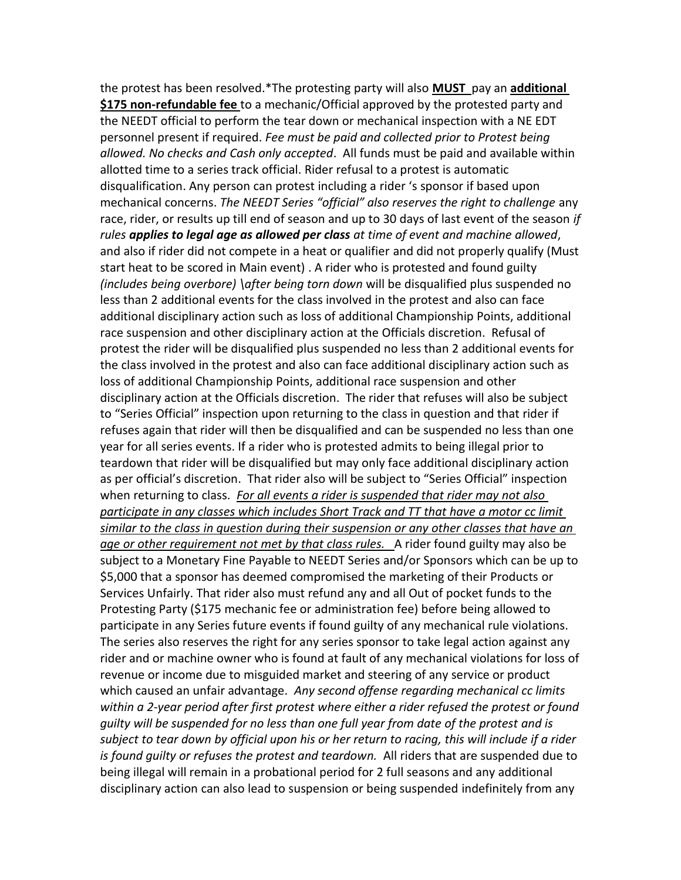the protest has been resolved.\*The protesting party will also **MUST** pay an **additional \$175 non-refundable fee** to a mechanic/Official approved by the protested party and the NEEDT official to perform the tear down or mechanical inspection with a NE EDT personnel present if required. *Fee must be paid and collected prior to Protest being allowed. No checks and Cash only accepted*. All funds must be paid and available within allotted time to a series track official. Rider refusal to a protest is automatic disqualification. Any person can protest including a rider 's sponsor if based upon mechanical concerns. *The NEEDT Series "official" also reserves the right to challenge* any race, rider, or results up till end of season and up to 30 days of last event of the season *if rules applies to legal age as allowed per class at time of event and machine allowed*, and also if rider did not compete in a heat or qualifier and did not properly qualify (Must start heat to be scored in Main event) . A rider who is protested and found guilty *(includes being overbore) \after being torn down* will be disqualified plus suspended no less than 2 additional events for the class involved in the protest and also can face additional disciplinary action such as loss of additional Championship Points, additional race suspension and other disciplinary action at the Officials discretion. Refusal of protest the rider will be disqualified plus suspended no less than 2 additional events for the class involved in the protest and also can face additional disciplinary action such as loss of additional Championship Points, additional race suspension and other disciplinary action at the Officials discretion. The rider that refuses will also be subject to "Series Official" inspection upon returning to the class in question and that rider if refuses again that rider will then be disqualified and can be suspended no less than one year for all series events. If a rider who is protested admits to being illegal prior to teardown that rider will be disqualified but may only face additional disciplinary action as per official's discretion. That rider also will be subject to "Series Official" inspection when returning to class. *For all events a rider is suspended that rider may not also participate in any classes which includes Short Track and TT that have a motor cc limit similar to the class in question during their suspension or any other classes that have an age or other requirement not met by that class rules.* A rider found guilty may also be subject to a Monetary Fine Payable to NEEDT Series and/or Sponsors which can be up to \$5,000 that a sponsor has deemed compromised the marketing of their Products or Services Unfairly. That rider also must refund any and all Out of pocket funds to the Protesting Party (\$175 mechanic fee or administration fee) before being allowed to participate in any Series future events if found guilty of any mechanical rule violations. The series also reserves the right for any series sponsor to take legal action against any rider and or machine owner who is found at fault of any mechanical violations for loss of revenue or income due to misguided market and steering of any service or product which caused an unfair advantage. *Any second offense regarding mechanical cc limits within a 2-year period after first protest where either a rider refused the protest or found guilty will be suspended for no less than one full year from date of the protest and is subject to tear down by official upon his or her return to racing, this will include if a rider is found guilty or refuses the protest and teardown.* All riders that are suspended due to being illegal will remain in a probational period for 2 full seasons and any additional disciplinary action can also lead to suspension or being suspended indefinitely from any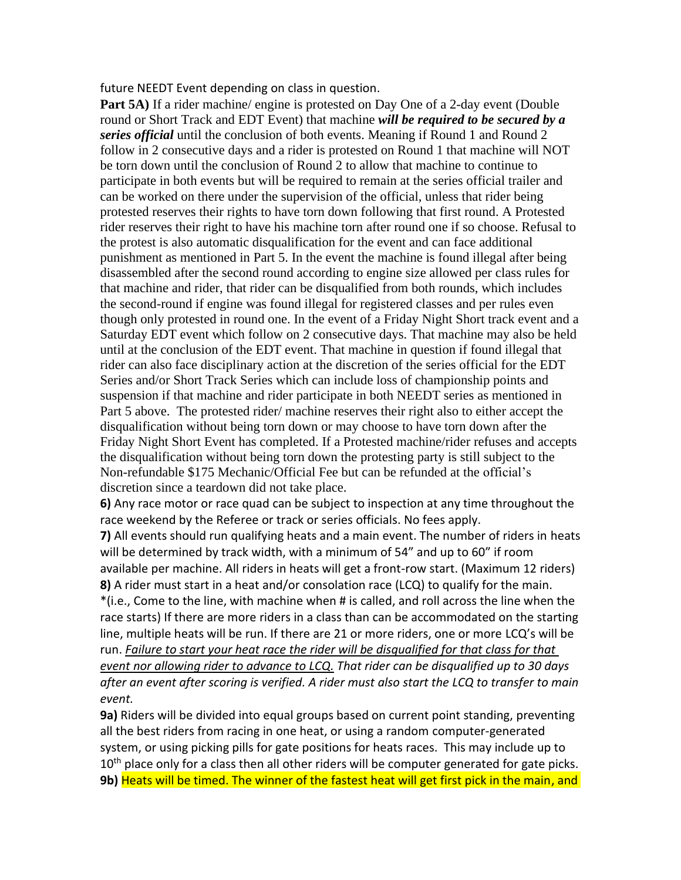future NEEDT Event depending on class in question.

**Part 5A)** If a rider machine/ engine is protested on Day One of a 2-day event (Double round or Short Track and EDT Event) that machine *will be required to be secured by a series official* until the conclusion of both events. Meaning if Round 1 and Round 2 follow in 2 consecutive days and a rider is protested on Round 1 that machine will NOT be torn down until the conclusion of Round 2 to allow that machine to continue to participate in both events but will be required to remain at the series official trailer and can be worked on there under the supervision of the official, unless that rider being protested reserves their rights to have torn down following that first round. A Protested rider reserves their right to have his machine torn after round one if so choose. Refusal to the protest is also automatic disqualification for the event and can face additional punishment as mentioned in Part 5. In the event the machine is found illegal after being disassembled after the second round according to engine size allowed per class rules for that machine and rider, that rider can be disqualified from both rounds, which includes the second-round if engine was found illegal for registered classes and per rules even though only protested in round one. In the event of a Friday Night Short track event and a Saturday EDT event which follow on 2 consecutive days. That machine may also be held until at the conclusion of the EDT event. That machine in question if found illegal that rider can also face disciplinary action at the discretion of the series official for the EDT Series and/or Short Track Series which can include loss of championship points and suspension if that machine and rider participate in both NEEDT series as mentioned in Part 5 above. The protested rider/ machine reserves their right also to either accept the disqualification without being torn down or may choose to have torn down after the Friday Night Short Event has completed. If a Protested machine/rider refuses and accepts the disqualification without being torn down the protesting party is still subject to the Non-refundable \$175 Mechanic/Official Fee but can be refunded at the official's discretion since a teardown did not take place.

**6)** Any race motor or race quad can be subject to inspection at any time throughout the race weekend by the Referee or track or series officials. No fees apply.

**7)** All events should run qualifying heats and a main event. The number of riders in heats will be determined by track width, with a minimum of 54" and up to 60" if room available per machine. All riders in heats will get a front-row start. (Maximum 12 riders) **8)** A rider must start in a heat and/or consolation race (LCQ) to qualify for the main. \*(i.e., Come to the line, with machine when # is called, and roll across the line when the race starts) If there are more riders in a class than can be accommodated on the starting line, multiple heats will be run. If there are 21 or more riders, one or more LCQ's will be run. *Failure to start your heat race the rider will be disqualified for that class for that event nor allowing rider to advance to LCQ. That rider can be disqualified up to 30 days after an event after scoring is verified. A rider must also start the LCQ to transfer to main event.* 

**9a)** Riders will be divided into equal groups based on current point standing, preventing all the best riders from racing in one heat, or using a random computer-generated system, or using picking pills for gate positions for heats races. This may include up to 10<sup>th</sup> place only for a class then all other riders will be computer generated for gate picks. **9b)** Heats will be timed. The winner of the fastest heat will get first pick in the main, and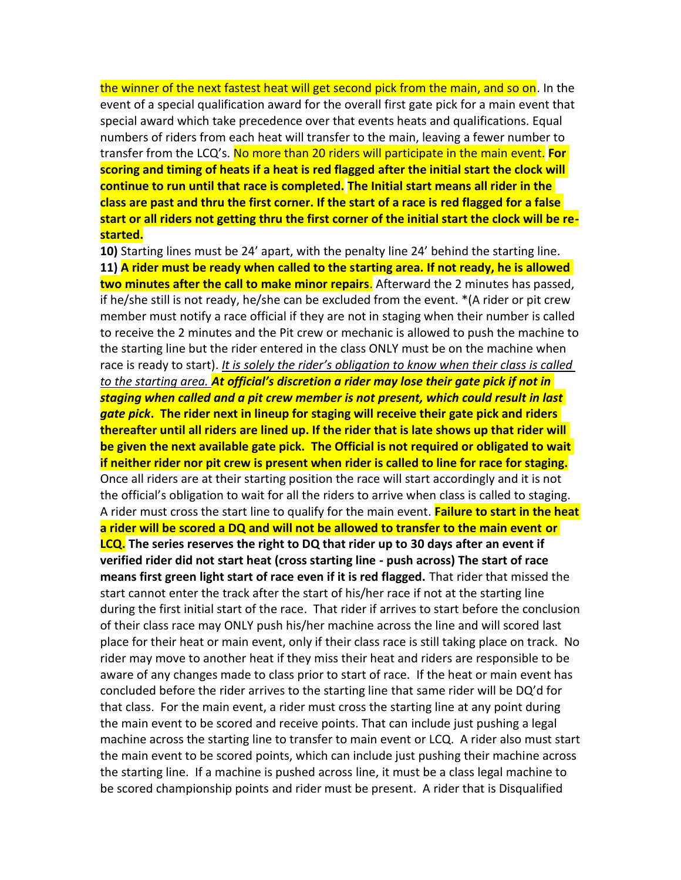the winner of the next fastest heat will get second pick from the main, and so on. In the event of a special qualification award for the overall first gate pick for a main event that special award which take precedence over that events heats and qualifications. Equal numbers of riders from each heat will transfer to the main, leaving a fewer number to transfer from the LCQ's. No more than 20 riders will participate in the main event. **For scoring and timing of heats if a heat is red flagged after the initial start the clock will continue to run until that race is completed. The Initial start means all rider in the class are past and thru the first corner. If the start of a race is red flagged for a false start or all riders not getting thru the first corner of the initial start the clock will be restarted.**

**10)** Starting lines must be 24' apart, with the penalty line 24' behind the starting line. **11) A rider must be ready when called to the starting area. If not ready, he is allowed two minutes after the call to make minor repairs**. Afterward the 2 minutes has passed, if he/she still is not ready, he/she can be excluded from the event. \*(A rider or pit crew member must notify a race official if they are not in staging when their number is called to receive the 2 minutes and the Pit crew or mechanic is allowed to push the machine to the starting line but the rider entered in the class ONLY must be on the machine when race is ready to start). *It is solely the rider's obligation to know when their class is called to the starting area. At official's discretion a rider may lose their gate pick if not in staging when called and a pit crew member is not present, which could result in last gate pick***. The rider next in lineup for staging will receive their gate pick and riders thereafter until all riders are lined up. If the rider that is late shows up that rider will be given the next available gate pick. The Official is not required or obligated to wait if neither rider nor pit crew is present when rider is called to line for race for staging.**  Once all riders are at their starting position the race will start accordingly and it is not the official's obligation to wait for all the riders to arrive when class is called to staging. A rider must cross the start line to qualify for the main event. **Failure to start in the heat a rider will be scored a DQ and will not be allowed to transfer to the main event or LCQ. The series reserves the right to DQ that rider up to 30 days after an event if verified rider did not start heat (cross starting line - push across) The start of race means first green light start of race even if it is red flagged.** That rider that missed the start cannot enter the track after the start of his/her race if not at the starting line during the first initial start of the race. That rider if arrives to start before the conclusion of their class race may ONLY push his/her machine across the line and will scored last place for their heat or main event, only if their class race is still taking place on track. No rider may move to another heat if they miss their heat and riders are responsible to be aware of any changes made to class prior to start of race. If the heat or main event has concluded before the rider arrives to the starting line that same rider will be DQ'd for that class. For the main event, a rider must cross the starting line at any point during the main event to be scored and receive points. That can include just pushing a legal machine across the starting line to transfer to main event or LCQ. A rider also must start the main event to be scored points, which can include just pushing their machine across the starting line. If a machine is pushed across line, it must be a class legal machine to be scored championship points and rider must be present. A rider that is Disqualified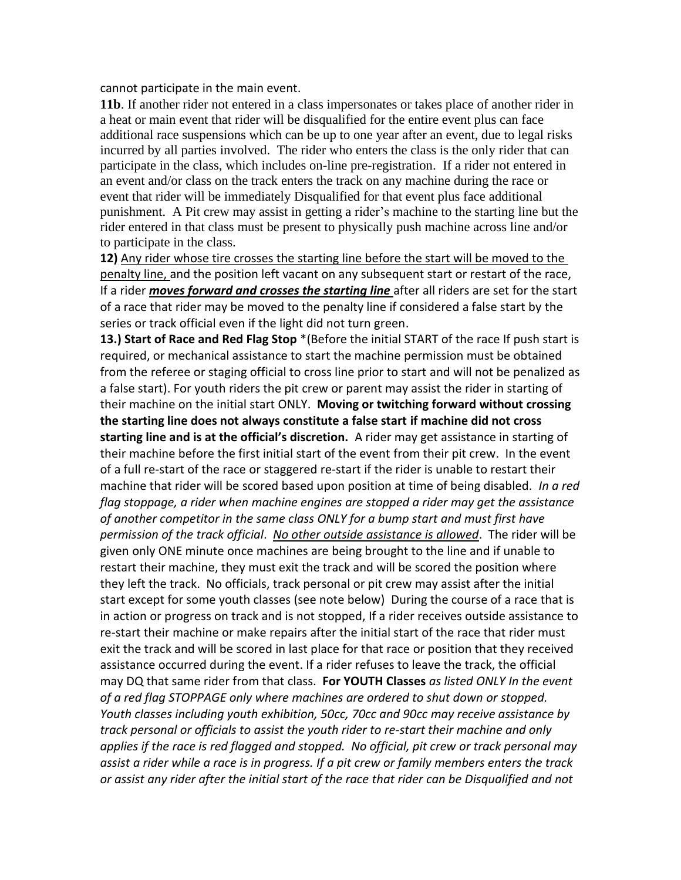cannot participate in the main event.

**11b**. If another rider not entered in a class impersonates or takes place of another rider in a heat or main event that rider will be disqualified for the entire event plus can face additional race suspensions which can be up to one year after an event, due to legal risks incurred by all parties involved. The rider who enters the class is the only rider that can participate in the class, which includes on-line pre-registration. If a rider not entered in an event and/or class on the track enters the track on any machine during the race or event that rider will be immediately Disqualified for that event plus face additional punishment. A Pit crew may assist in getting a rider's machine to the starting line but the rider entered in that class must be present to physically push machine across line and/or to participate in the class.

**12)** Any rider whose tire crosses the starting line before the start will be moved to the penalty line, and the position left vacant on any subsequent start or restart of the race, If a rider *moves forward and crosses the starting line* after all riders are set for the start of a race that rider may be moved to the penalty line if considered a false start by the series or track official even if the light did not turn green.

**13.) Start of Race and Red Flag Stop** \*(Before the initial START of the race If push start is required, or mechanical assistance to start the machine permission must be obtained from the referee or staging official to cross line prior to start and will not be penalized as a false start). For youth riders the pit crew or parent may assist the rider in starting of their machine on the initial start ONLY. **Moving or twitching forward without crossing the starting line does not always constitute a false start if machine did not cross starting line and is at the official's discretion.** A rider may get assistance in starting of their machine before the first initial start of the event from their pit crew. In the event of a full re-start of the race or staggered re-start if the rider is unable to restart their machine that rider will be scored based upon position at time of being disabled. *In a red flag stoppage, a rider when machine engines are stopped a rider may get the assistance of another competitor in the same class ONLY for a bump start and must first have permission of the track official*. *No other outside assistance is allowed*. The rider will be given only ONE minute once machines are being brought to the line and if unable to restart their machine, they must exit the track and will be scored the position where they left the track. No officials, track personal or pit crew may assist after the initial start except for some youth classes (see note below) During the course of a race that is in action or progress on track and is not stopped, If a rider receives outside assistance to re-start their machine or make repairs after the initial start of the race that rider must exit the track and will be scored in last place for that race or position that they received assistance occurred during the event. If a rider refuses to leave the track, the official may DQ that same rider from that class. **For YOUTH Classes** *as listed ONLY In the event of a red flag STOPPAGE only where machines are ordered to shut down or stopped. Youth classes including youth exhibition, 50cc, 70cc and 90cc may receive assistance by track personal or officials to assist the youth rider to re-start their machine and only applies if the race is red flagged and stopped. No official, pit crew or track personal may assist a rider while a race is in progress. If a pit crew or family members enters the track or assist any rider after the initial start of the race that rider can be Disqualified and not*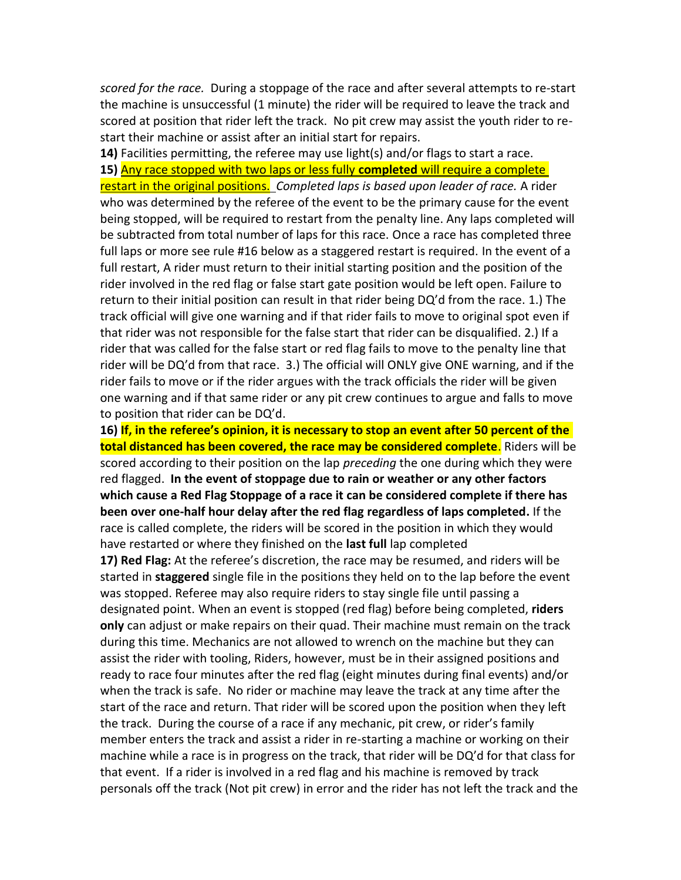*scored for the race.* During a stoppage of the race and after several attempts to re-start the machine is unsuccessful (1 minute) the rider will be required to leave the track and scored at position that rider left the track. No pit crew may assist the youth rider to restart their machine or assist after an initial start for repairs.

**14)** Facilities permitting, the referee may use light(s) and/or flags to start a race. **15)** Any race stopped with two laps or less fully **completed** will require a complete restart in the original positions. *Completed laps is based upon leader of race.* A rider who was determined by the referee of the event to be the primary cause for the event being stopped, will be required to restart from the penalty line. Any laps completed will be subtracted from total number of laps for this race. Once a race has completed three full laps or more see rule #16 below as a staggered restart is required. In the event of a full restart, A rider must return to their initial starting position and the position of the rider involved in the red flag or false start gate position would be left open. Failure to return to their initial position can result in that rider being DQ'd from the race. 1.) The track official will give one warning and if that rider fails to move to original spot even if that rider was not responsible for the false start that rider can be disqualified. 2.) If a rider that was called for the false start or red flag fails to move to the penalty line that rider will be DQ'd from that race. 3.) The official will ONLY give ONE warning, and if the rider fails to move or if the rider argues with the track officials the rider will be given one warning and if that same rider or any pit crew continues to argue and falls to move to position that rider can be DQ'd.

**16) If, in the referee's opinion, it is necessary to stop an event after 50 percent of the total distanced has been covered, the race may be considered complete**. Riders will be scored according to their position on the lap *preceding* the one during which they were red flagged. **In the event of stoppage due to rain or weather or any other factors which cause a Red Flag Stoppage of a race it can be considered complete if there has been over one-half hour delay after the red flag regardless of laps completed.** If the race is called complete, the riders will be scored in the position in which they would have restarted or where they finished on the **last full** lap completed

**17) Red Flag:** At the referee's discretion, the race may be resumed, and riders will be started in **staggered** single file in the positions they held on to the lap before the event was stopped. Referee may also require riders to stay single file until passing a designated point. When an event is stopped (red flag) before being completed, **riders only** can adjust or make repairs on their quad. Their machine must remain on the track during this time. Mechanics are not allowed to wrench on the machine but they can assist the rider with tooling, Riders, however, must be in their assigned positions and ready to race four minutes after the red flag (eight minutes during final events) and/or when the track is safe. No rider or machine may leave the track at any time after the start of the race and return. That rider will be scored upon the position when they left the track. During the course of a race if any mechanic, pit crew, or rider's family member enters the track and assist a rider in re-starting a machine or working on their machine while a race is in progress on the track, that rider will be DQ'd for that class for that event. If a rider is involved in a red flag and his machine is removed by track personals off the track (Not pit crew) in error and the rider has not left the track and the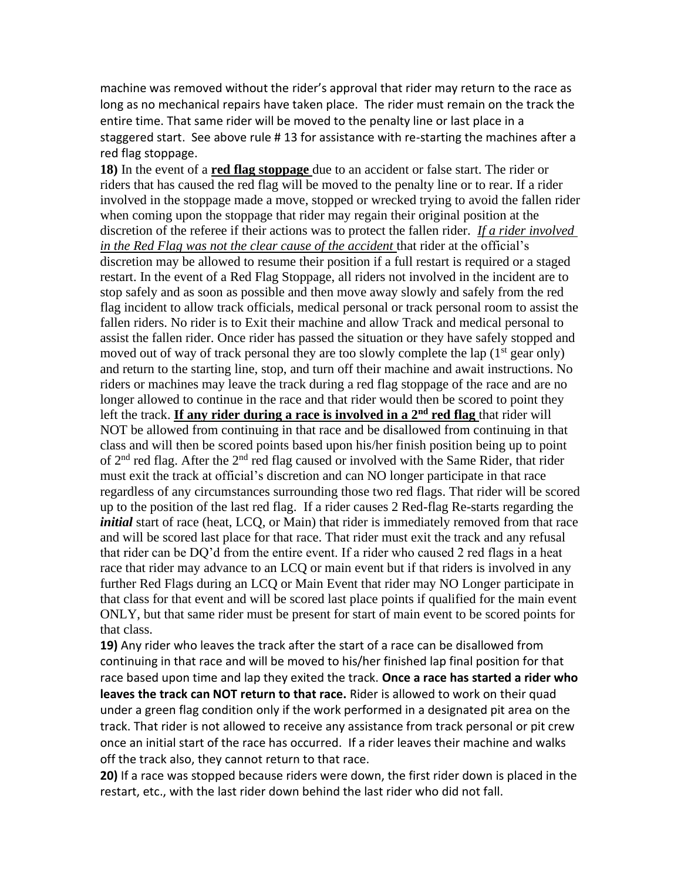machine was removed without the rider's approval that rider may return to the race as long as no mechanical repairs have taken place. The rider must remain on the track the entire time. That same rider will be moved to the penalty line or last place in a staggered start. See above rule # 13 for assistance with re-starting the machines after a red flag stoppage.

**18)** In the event of a **red flag stoppage** due to an accident or false start. The rider or riders that has caused the red flag will be moved to the penalty line or to rear. If a rider involved in the stoppage made a move, stopped or wrecked trying to avoid the fallen rider when coming upon the stoppage that rider may regain their original position at the discretion of the referee if their actions was to protect the fallen rider. *If a rider involved in the Red Flag was not the clear cause of the accident* that rider at the official's discretion may be allowed to resume their position if a full restart is required or a staged restart. In the event of a Red Flag Stoppage, all riders not involved in the incident are to stop safely and as soon as possible and then move away slowly and safely from the red flag incident to allow track officials, medical personal or track personal room to assist the fallen riders. No rider is to Exit their machine and allow Track and medical personal to assist the fallen rider. Once rider has passed the situation or they have safely stopped and moved out of way of track personal they are too slowly complete the lap  $(1<sup>st</sup>$  gear only) and return to the starting line, stop, and turn off their machine and await instructions. No riders or machines may leave the track during a red flag stoppage of the race and are no longer allowed to continue in the race and that rider would then be scored to point they left the track. **If any rider during a race is involved in a 2nd red flag** that rider will NOT be allowed from continuing in that race and be disallowed from continuing in that class and will then be scored points based upon his/her finish position being up to point of  $2<sup>nd</sup>$  red flag. After the  $2<sup>nd</sup>$  red flag caused or involved with the Same Rider, that rider must exit the track at official's discretion and can NO longer participate in that race regardless of any circumstances surrounding those two red flags. That rider will be scored up to the position of the last red flag. If a rider causes 2 Red-flag Re-starts regarding the *initial* start of race (heat, LCQ, or Main) that rider is immediately removed from that race and will be scored last place for that race. That rider must exit the track and any refusal that rider can be DQ'd from the entire event. If a rider who caused 2 red flags in a heat race that rider may advance to an LCQ or main event but if that riders is involved in any further Red Flags during an LCQ or Main Event that rider may NO Longer participate in that class for that event and will be scored last place points if qualified for the main event ONLY, but that same rider must be present for start of main event to be scored points for that class.

**19)** Any rider who leaves the track after the start of a race can be disallowed from continuing in that race and will be moved to his/her finished lap final position for that race based upon time and lap they exited the track. **Once a race has started a rider who leaves the track can NOT return to that race.** Rider is allowed to work on their quad under a green flag condition only if the work performed in a designated pit area on the track. That rider is not allowed to receive any assistance from track personal or pit crew once an initial start of the race has occurred. If a rider leaves their machine and walks off the track also, they cannot return to that race.

**20)** If a race was stopped because riders were down, the first rider down is placed in the restart, etc., with the last rider down behind the last rider who did not fall.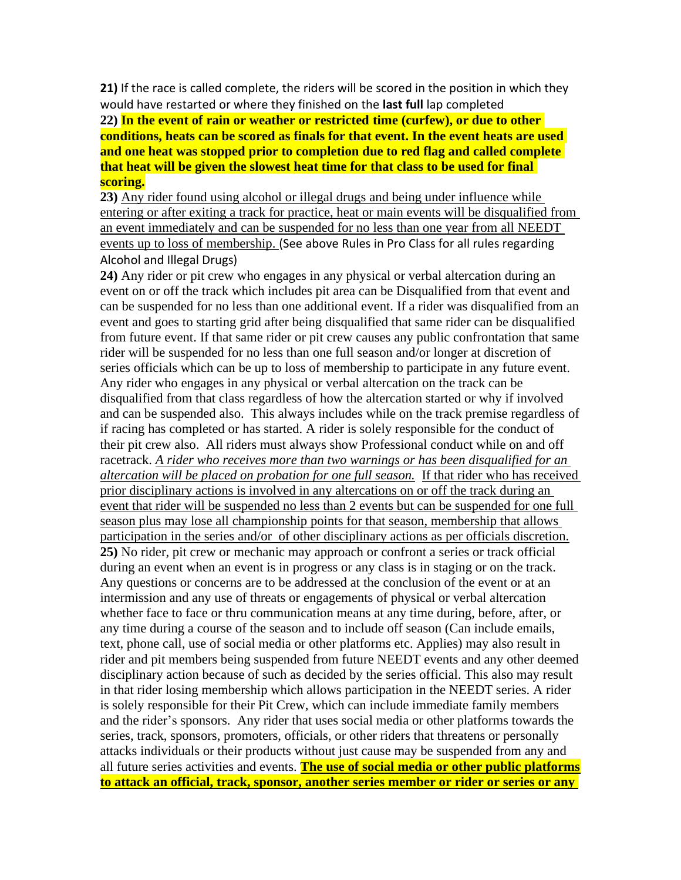**21)** If the race is called complete, the riders will be scored in the position in which they would have restarted or where they finished on the **last full** lap completed

**22) In the event of rain or weather or restricted time (curfew), or due to other conditions, heats can be scored as finals for that event. In the event heats are used and one heat was stopped prior to completion due to red flag and called complete that heat will be given the slowest heat time for that class to be used for final scoring.**

**23)** Any rider found using alcohol or illegal drugs and being under influence while entering or after exiting a track for practice, heat or main events will be disqualified from an event immediately and can be suspended for no less than one year from all NEEDT events up to loss of membership. (See above Rules in Pro Class for all rules regarding Alcohol and Illegal Drugs)

**24)** Any rider or pit crew who engages in any physical or verbal altercation during an event on or off the track which includes pit area can be Disqualified from that event and can be suspended for no less than one additional event. If a rider was disqualified from an event and goes to starting grid after being disqualified that same rider can be disqualified from future event. If that same rider or pit crew causes any public confrontation that same rider will be suspended for no less than one full season and/or longer at discretion of series officials which can be up to loss of membership to participate in any future event. Any rider who engages in any physical or verbal altercation on the track can be disqualified from that class regardless of how the altercation started or why if involved and can be suspended also. This always includes while on the track premise regardless of if racing has completed or has started. A rider is solely responsible for the conduct of their pit crew also. All riders must always show Professional conduct while on and off racetrack. *A rider who receives more than two warnings or has been disqualified for an altercation will be placed on probation for one full season.* If that rider who has received prior disciplinary actions is involved in any altercations on or off the track during an event that rider will be suspended no less than 2 events but can be suspended for one full season plus may lose all championship points for that season, membership that allows participation in the series and/or of other disciplinary actions as per officials discretion. **25)** No rider, pit crew or mechanic may approach or confront a series or track official during an event when an event is in progress or any class is in staging or on the track. Any questions or concerns are to be addressed at the conclusion of the event or at an intermission and any use of threats or engagements of physical or verbal altercation whether face to face or thru communication means at any time during, before, after, or any time during a course of the season and to include off season (Can include emails, text, phone call, use of social media or other platforms etc. Applies) may also result in rider and pit members being suspended from future NEEDT events and any other deemed disciplinary action because of such as decided by the series official. This also may result in that rider losing membership which allows participation in the NEEDT series. A rider is solely responsible for their Pit Crew, which can include immediate family members and the rider's sponsors. Any rider that uses social media or other platforms towards the series, track, sponsors, promoters, officials, or other riders that threatens or personally attacks individuals or their products without just cause may be suspended from any and all future series activities and events. **The use of social media or other public platforms to attack an official, track, sponsor, another series member or rider or series or any**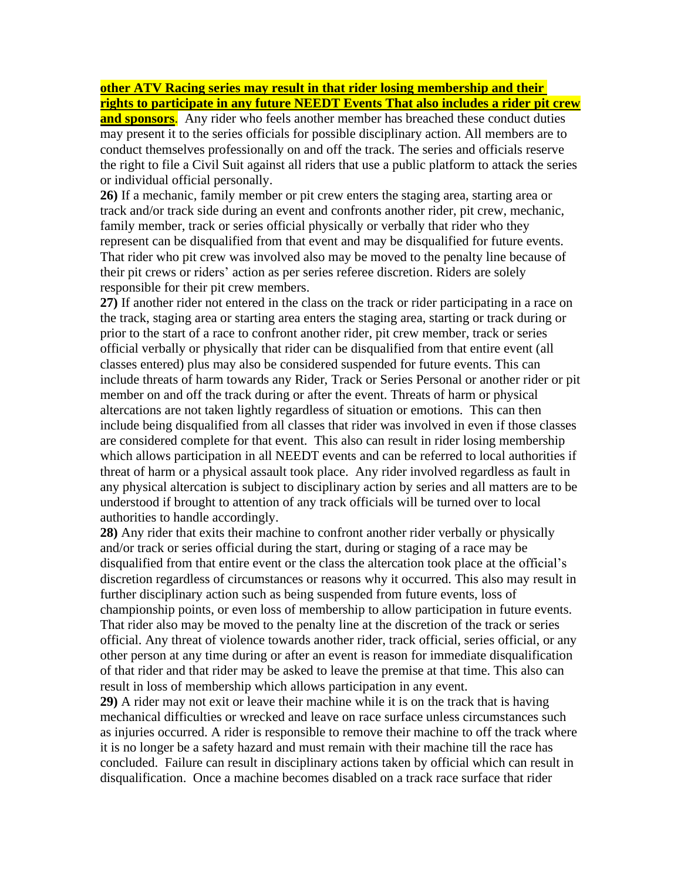#### **other ATV Racing series may result in that rider losing membership and their rights to participate in any future NEEDT Events That also includes a rider pit crew**

**and sponsors.** Any rider who feels another member has breached these conduct duties may present it to the series officials for possible disciplinary action. All members are to conduct themselves professionally on and off the track. The series and officials reserve the right to file a Civil Suit against all riders that use a public platform to attack the series or individual official personally.

**26)** If a mechanic, family member or pit crew enters the staging area, starting area or track and/or track side during an event and confronts another rider, pit crew, mechanic, family member, track or series official physically or verbally that rider who they represent can be disqualified from that event and may be disqualified for future events. That rider who pit crew was involved also may be moved to the penalty line because of their pit crews or riders' action as per series referee discretion. Riders are solely responsible for their pit crew members.

**27)** If another rider not entered in the class on the track or rider participating in a race on the track, staging area or starting area enters the staging area, starting or track during or prior to the start of a race to confront another rider, pit crew member, track or series official verbally or physically that rider can be disqualified from that entire event (all classes entered) plus may also be considered suspended for future events. This can include threats of harm towards any Rider, Track or Series Personal or another rider or pit member on and off the track during or after the event. Threats of harm or physical altercations are not taken lightly regardless of situation or emotions. This can then include being disqualified from all classes that rider was involved in even if those classes are considered complete for that event. This also can result in rider losing membership which allows participation in all NEEDT events and can be referred to local authorities if threat of harm or a physical assault took place. Any rider involved regardless as fault in any physical altercation is subject to disciplinary action by series and all matters are to be understood if brought to attention of any track officials will be turned over to local authorities to handle accordingly.

**28)** Any rider that exits their machine to confront another rider verbally or physically and/or track or series official during the start, during or staging of a race may be disqualified from that entire event or the class the altercation took place at the official's discretion regardless of circumstances or reasons why it occurred. This also may result in further disciplinary action such as being suspended from future events, loss of championship points, or even loss of membership to allow participation in future events. That rider also may be moved to the penalty line at the discretion of the track or series official. Any threat of violence towards another rider, track official, series official, or any other person at any time during or after an event is reason for immediate disqualification of that rider and that rider may be asked to leave the premise at that time. This also can result in loss of membership which allows participation in any event.

**29)** A rider may not exit or leave their machine while it is on the track that is having mechanical difficulties or wrecked and leave on race surface unless circumstances such as injuries occurred. A rider is responsible to remove their machine to off the track where it is no longer be a safety hazard and must remain with their machine till the race has concluded. Failure can result in disciplinary actions taken by official which can result in disqualification. Once a machine becomes disabled on a track race surface that rider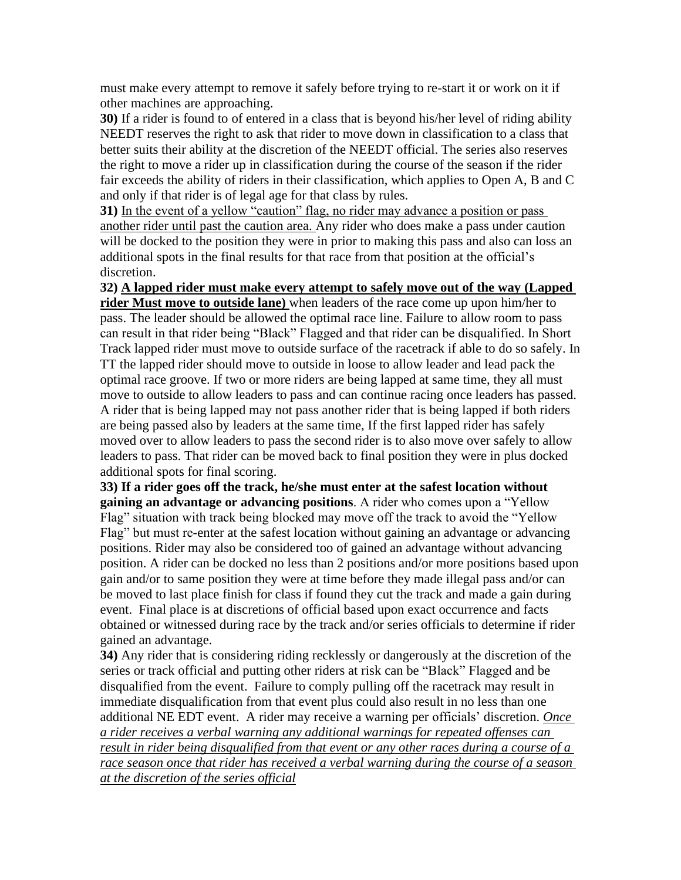must make every attempt to remove it safely before trying to re-start it or work on it if other machines are approaching.

**30)** If a rider is found to of entered in a class that is beyond his/her level of riding ability NEEDT reserves the right to ask that rider to move down in classification to a class that better suits their ability at the discretion of the NEEDT official. The series also reserves the right to move a rider up in classification during the course of the season if the rider fair exceeds the ability of riders in their classification, which applies to Open A, B and C and only if that rider is of legal age for that class by rules.

**31)** In the event of a yellow "caution" flag, no rider may advance a position or pass another rider until past the caution area. Any rider who does make a pass under caution will be docked to the position they were in prior to making this pass and also can loss an additional spots in the final results for that race from that position at the official's discretion.

**32) A lapped rider must make every attempt to safely move out of the way (Lapped rider Must move to outside lane)** when leaders of the race come up upon him/her to pass. The leader should be allowed the optimal race line. Failure to allow room to pass can result in that rider being "Black" Flagged and that rider can be disqualified. In Short Track lapped rider must move to outside surface of the racetrack if able to do so safely. In TT the lapped rider should move to outside in loose to allow leader and lead pack the optimal race groove. If two or more riders are being lapped at same time, they all must move to outside to allow leaders to pass and can continue racing once leaders has passed. A rider that is being lapped may not pass another rider that is being lapped if both riders are being passed also by leaders at the same time, If the first lapped rider has safely moved over to allow leaders to pass the second rider is to also move over safely to allow leaders to pass. That rider can be moved back to final position they were in plus docked additional spots for final scoring.

**33) If a rider goes off the track, he/she must enter at the safest location without gaining an advantage or advancing positions**. A rider who comes upon a "Yellow Flag" situation with track being blocked may move off the track to avoid the "Yellow Flag" but must re-enter at the safest location without gaining an advantage or advancing positions. Rider may also be considered too of gained an advantage without advancing position. A rider can be docked no less than 2 positions and/or more positions based upon gain and/or to same position they were at time before they made illegal pass and/or can be moved to last place finish for class if found they cut the track and made a gain during event. Final place is at discretions of official based upon exact occurrence and facts obtained or witnessed during race by the track and/or series officials to determine if rider gained an advantage.

**34)** Any rider that is considering riding recklessly or dangerously at the discretion of the series or track official and putting other riders at risk can be "Black" Flagged and be disqualified from the event. Failure to comply pulling off the racetrack may result in immediate disqualification from that event plus could also result in no less than one additional NE EDT event. A rider may receive a warning per officials' discretion. *Once a rider receives a verbal warning any additional warnings for repeated offenses can result in rider being disqualified from that event or any other races during a course of a race season once that rider has received a verbal warning during the course of a season at the discretion of the series official*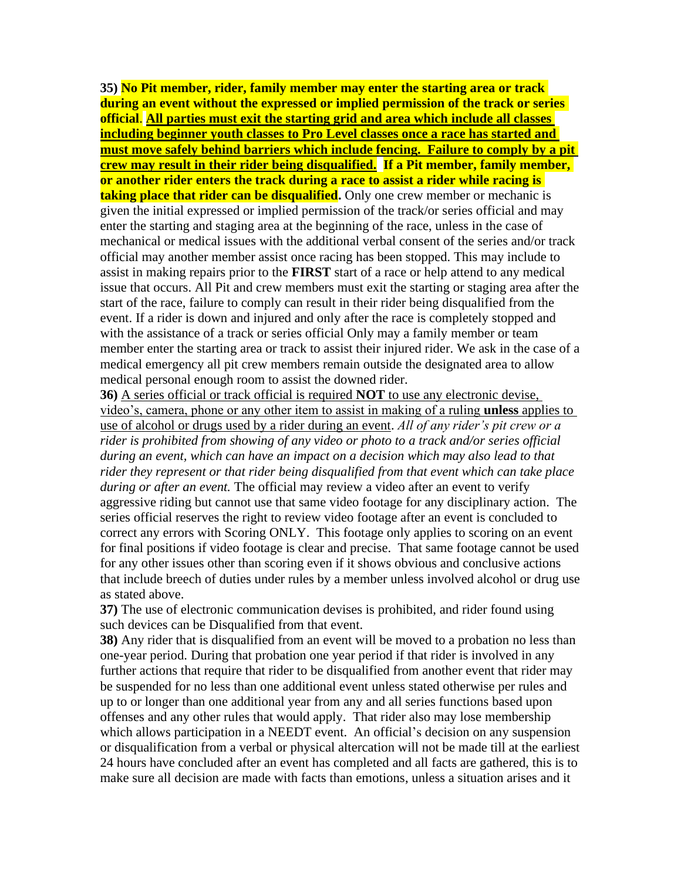**35) No Pit member, rider, family member may enter the starting area or track during an event without the expressed or implied permission of the track or series official**. **All parties must exit the starting grid and area which include all classes including beginner youth classes to Pro Level classes once a race has started and must move safely behind barriers which include fencing. Failure to comply by a pit crew may result in their rider being disqualified. If a Pit member, family member, or another rider enters the track during a race to assist a rider while racing is taking place that rider can be disqualified.** Only one crew member or mechanic is given the initial expressed or implied permission of the track/or series official and may enter the starting and staging area at the beginning of the race, unless in the case of mechanical or medical issues with the additional verbal consent of the series and/or track official may another member assist once racing has been stopped. This may include to assist in making repairs prior to the **FIRST** start of a race or help attend to any medical issue that occurs. All Pit and crew members must exit the starting or staging area after the start of the race, failure to comply can result in their rider being disqualified from the event. If a rider is down and injured and only after the race is completely stopped and with the assistance of a track or series official Only may a family member or team member enter the starting area or track to assist their injured rider. We ask in the case of a medical emergency all pit crew members remain outside the designated area to allow medical personal enough room to assist the downed rider.

**36)** A series official or track official is required **NOT** to use any electronic devise, video's, camera, phone or any other item to assist in making of a ruling **unless** applies to use of alcohol or drugs used by a rider during an event. *All of any rider's pit crew or a rider is prohibited from showing of any video or photo to a track and/or series official during an event, which can have an impact on a decision which may also lead to that rider they represent or that rider being disqualified from that event which can take place during or after an event.* The official may review a video after an event to verify aggressive riding but cannot use that same video footage for any disciplinary action. The series official reserves the right to review video footage after an event is concluded to correct any errors with Scoring ONLY. This footage only applies to scoring on an event for final positions if video footage is clear and precise. That same footage cannot be used for any other issues other than scoring even if it shows obvious and conclusive actions that include breech of duties under rules by a member unless involved alcohol or drug use as stated above.

**37)** The use of electronic communication devises is prohibited, and rider found using such devices can be Disqualified from that event.

**38)** Any rider that is disqualified from an event will be moved to a probation no less than one-year period. During that probation one year period if that rider is involved in any further actions that require that rider to be disqualified from another event that rider may be suspended for no less than one additional event unless stated otherwise per rules and up to or longer than one additional year from any and all series functions based upon offenses and any other rules that would apply. That rider also may lose membership which allows participation in a NEEDT event. An official's decision on any suspension or disqualification from a verbal or physical altercation will not be made till at the earliest 24 hours have concluded after an event has completed and all facts are gathered, this is to make sure all decision are made with facts than emotions, unless a situation arises and it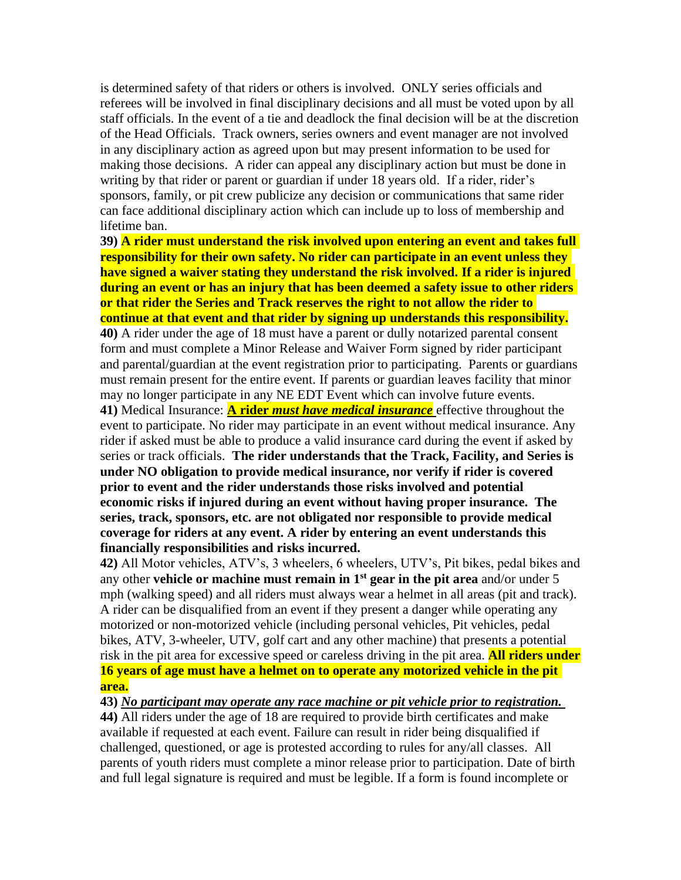is determined safety of that riders or others is involved. ONLY series officials and referees will be involved in final disciplinary decisions and all must be voted upon by all staff officials. In the event of a tie and deadlock the final decision will be at the discretion of the Head Officials. Track owners, series owners and event manager are not involved in any disciplinary action as agreed upon but may present information to be used for making those decisions. A rider can appeal any disciplinary action but must be done in writing by that rider or parent or guardian if under 18 years old. If a rider, rider's sponsors, family, or pit crew publicize any decision or communications that same rider can face additional disciplinary action which can include up to loss of membership and lifetime ban.

**39) A rider must understand the risk involved upon entering an event and takes full responsibility for their own safety. No rider can participate in an event unless they have signed a waiver stating they understand the risk involved. If a rider is injured during an event or has an injury that has been deemed a safety issue to other riders or that rider the Series and Track reserves the right to not allow the rider to continue at that event and that rider by signing up understands this responsibility. 40)** A rider under the age of 18 must have a parent or dully notarized parental consent form and must complete a Minor Release and Waiver Form signed by rider participant and parental/guardian at the event registration prior to participating. Parents or guardians must remain present for the entire event. If parents or guardian leaves facility that minor may no longer participate in any NE EDT Event which can involve future events. **41)** Medical Insurance: **A rider** *must have medical insurance* effective throughout the event to participate. No rider may participate in an event without medical insurance. Any rider if asked must be able to produce a valid insurance card during the event if asked by series or track officials. **The rider understands that the Track, Facility, and Series is under NO obligation to provide medical insurance, nor verify if rider is covered prior to event and the rider understands those risks involved and potential economic risks if injured during an event without having proper insurance. The series, track, sponsors, etc. are not obligated nor responsible to provide medical coverage for riders at any event. A rider by entering an event understands this financially responsibilities and risks incurred.**

**42)** All Motor vehicles, ATV's, 3 wheelers, 6 wheelers, UTV's, Pit bikes, pedal bikes and any other **vehicle or machine must remain in 1st gear in the pit area** and/or under 5 mph (walking speed) and all riders must always wear a helmet in all areas (pit and track). A rider can be disqualified from an event if they present a danger while operating any motorized or non-motorized vehicle (including personal vehicles, Pit vehicles, pedal bikes, ATV, 3-wheeler, UTV, golf cart and any other machine) that presents a potential risk in the pit area for excessive speed or careless driving in the pit area. **All riders under 16 years of age must have a helmet on to operate any motorized vehicle in the pit area.**

**43)** *No participant may operate any race machine or pit vehicle prior to registration.* 

**44)** All riders under the age of 18 are required to provide birth certificates and make available if requested at each event. Failure can result in rider being disqualified if challenged, questioned, or age is protested according to rules for any/all classes. All parents of youth riders must complete a minor release prior to participation. Date of birth and full legal signature is required and must be legible. If a form is found incomplete or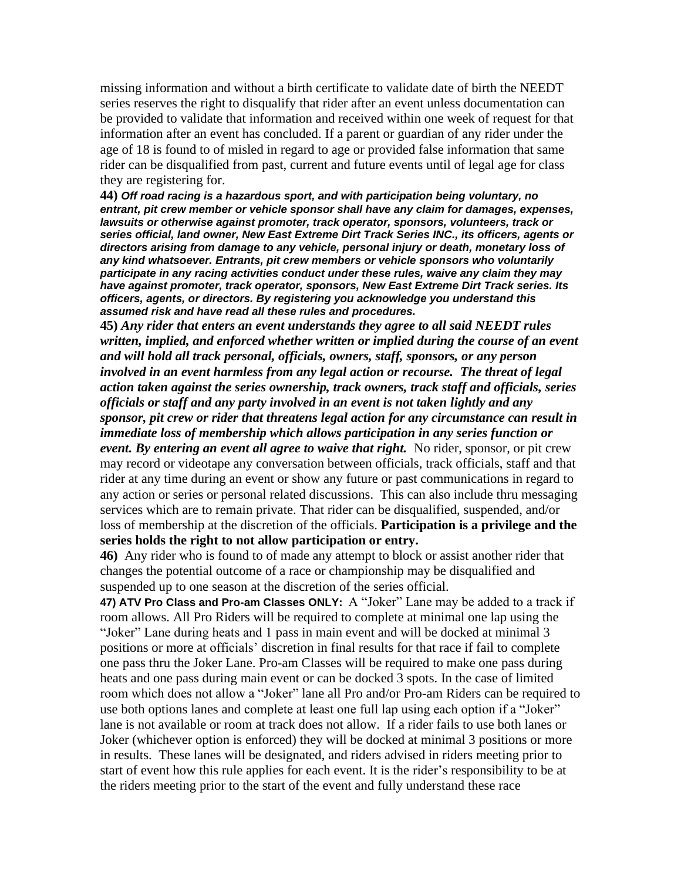missing information and without a birth certificate to validate date of birth the NEEDT series reserves the right to disqualify that rider after an event unless documentation can be provided to validate that information and received within one week of request for that information after an event has concluded. If a parent or guardian of any rider under the age of 18 is found to of misled in regard to age or provided false information that same rider can be disqualified from past, current and future events until of legal age for class they are registering for.

**44)** *Off road racing is a hazardous sport, and with participation being voluntary, no entrant, pit crew member or vehicle sponsor shall have any claim for damages, expenses, lawsuits or otherwise against promoter, track operator, sponsors, volunteers, track or series official, land owner, New East Extreme Dirt Track Series INC., its officers, agents or directors arising from damage to any vehicle, personal injury or death, monetary loss of any kind whatsoever. Entrants, pit crew members or vehicle sponsors who voluntarily participate in any racing activities conduct under these rules, waive any claim they may have against promoter, track operator, sponsors, New East Extreme Dirt Track series. Its officers, agents, or directors. By registering you acknowledge you understand this assumed risk and have read all these rules and procedures.*

**45)** *Any rider that enters an event understands they agree to all said NEEDT rules written, implied, and enforced whether written or implied during the course of an event and will hold all track personal, officials, owners, staff, sponsors, or any person involved in an event harmless from any legal action or recourse. The threat of legal action taken against the series ownership, track owners, track staff and officials, series officials or staff and any party involved in an event is not taken lightly and any sponsor, pit crew or rider that threatens legal action for any circumstance can result in immediate loss of membership which allows participation in any series function or event. By entering an event all agree to waive that right.* No rider, sponsor, or pit crew may record or videotape any conversation between officials, track officials, staff and that rider at any time during an event or show any future or past communications in regard to any action or series or personal related discussions. This can also include thru messaging services which are to remain private. That rider can be disqualified, suspended, and/or loss of membership at the discretion of the officials. **Participation is a privilege and the series holds the right to not allow participation or entry.**

**46)** Any rider who is found to of made any attempt to block or assist another rider that changes the potential outcome of a race or championship may be disqualified and suspended up to one season at the discretion of the series official.

**47) ATV Pro Class and Pro-am Classes ONLY:** A "Joker" Lane may be added to a track if room allows. All Pro Riders will be required to complete at minimal one lap using the "Joker" Lane during heats and 1 pass in main event and will be docked at minimal 3 positions or more at officials' discretion in final results for that race if fail to complete one pass thru the Joker Lane. Pro-am Classes will be required to make one pass during heats and one pass during main event or can be docked 3 spots. In the case of limited room which does not allow a "Joker" lane all Pro and/or Pro-am Riders can be required to use both options lanes and complete at least one full lap using each option if a "Joker" lane is not available or room at track does not allow. If a rider fails to use both lanes or Joker (whichever option is enforced) they will be docked at minimal 3 positions or more in results. These lanes will be designated, and riders advised in riders meeting prior to start of event how this rule applies for each event. It is the rider's responsibility to be at the riders meeting prior to the start of the event and fully understand these race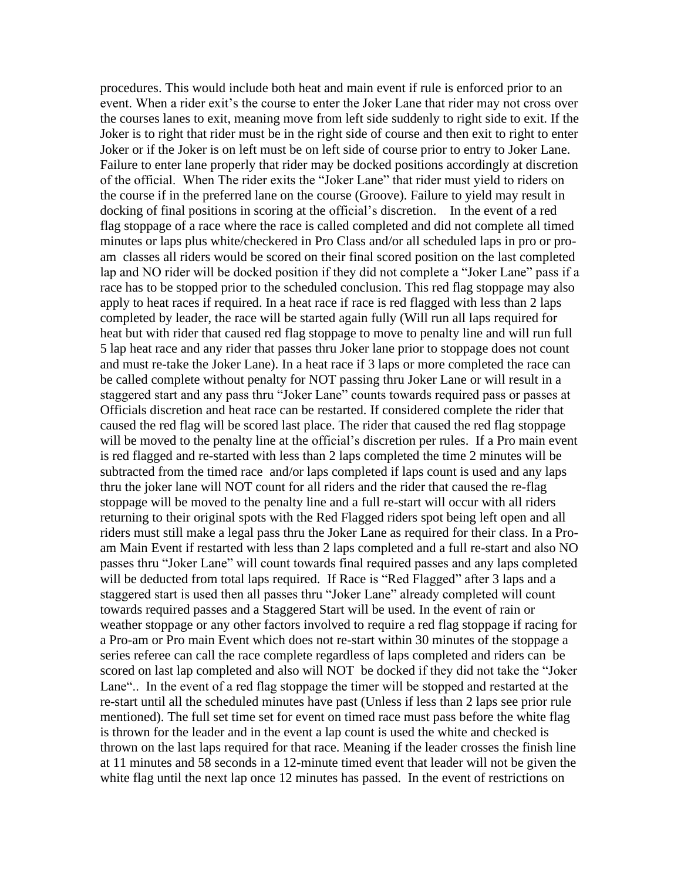procedures. This would include both heat and main event if rule is enforced prior to an event. When a rider exit's the course to enter the Joker Lane that rider may not cross over the courses lanes to exit, meaning move from left side suddenly to right side to exit. If the Joker is to right that rider must be in the right side of course and then exit to right to enter Joker or if the Joker is on left must be on left side of course prior to entry to Joker Lane. Failure to enter lane properly that rider may be docked positions accordingly at discretion of the official. When The rider exits the "Joker Lane" that rider must yield to riders on the course if in the preferred lane on the course (Groove). Failure to yield may result in docking of final positions in scoring at the official's discretion. In the event of a red flag stoppage of a race where the race is called completed and did not complete all timed minutes or laps plus white/checkered in Pro Class and/or all scheduled laps in pro or proam classes all riders would be scored on their final scored position on the last completed lap and NO rider will be docked position if they did not complete a "Joker Lane" pass if a race has to be stopped prior to the scheduled conclusion. This red flag stoppage may also apply to heat races if required. In a heat race if race is red flagged with less than 2 laps completed by leader, the race will be started again fully (Will run all laps required for heat but with rider that caused red flag stoppage to move to penalty line and will run full 5 lap heat race and any rider that passes thru Joker lane prior to stoppage does not count and must re-take the Joker Lane). In a heat race if 3 laps or more completed the race can be called complete without penalty for NOT passing thru Joker Lane or will result in a staggered start and any pass thru "Joker Lane" counts towards required pass or passes at Officials discretion and heat race can be restarted. If considered complete the rider that caused the red flag will be scored last place. The rider that caused the red flag stoppage will be moved to the penalty line at the official's discretion per rules. If a Pro main event is red flagged and re-started with less than 2 laps completed the time 2 minutes will be subtracted from the timed race and/or laps completed if laps count is used and any laps thru the joker lane will NOT count for all riders and the rider that caused the re-flag stoppage will be moved to the penalty line and a full re-start will occur with all riders returning to their original spots with the Red Flagged riders spot being left open and all riders must still make a legal pass thru the Joker Lane as required for their class. In a Proam Main Event if restarted with less than 2 laps completed and a full re-start and also NO passes thru "Joker Lane" will count towards final required passes and any laps completed will be deducted from total laps required. If Race is "Red Flagged" after 3 laps and a staggered start is used then all passes thru "Joker Lane" already completed will count towards required passes and a Staggered Start will be used. In the event of rain or weather stoppage or any other factors involved to require a red flag stoppage if racing for a Pro-am or Pro main Event which does not re-start within 30 minutes of the stoppage a series referee can call the race complete regardless of laps completed and riders can be scored on last lap completed and also will NOT be docked if they did not take the "Joker Lane".. In the event of a red flag stoppage the timer will be stopped and restarted at the re-start until all the scheduled minutes have past (Unless if less than 2 laps see prior rule mentioned). The full set time set for event on timed race must pass before the white flag is thrown for the leader and in the event a lap count is used the white and checked is thrown on the last laps required for that race. Meaning if the leader crosses the finish line at 11 minutes and 58 seconds in a 12-minute timed event that leader will not be given the white flag until the next lap once 12 minutes has passed. In the event of restrictions on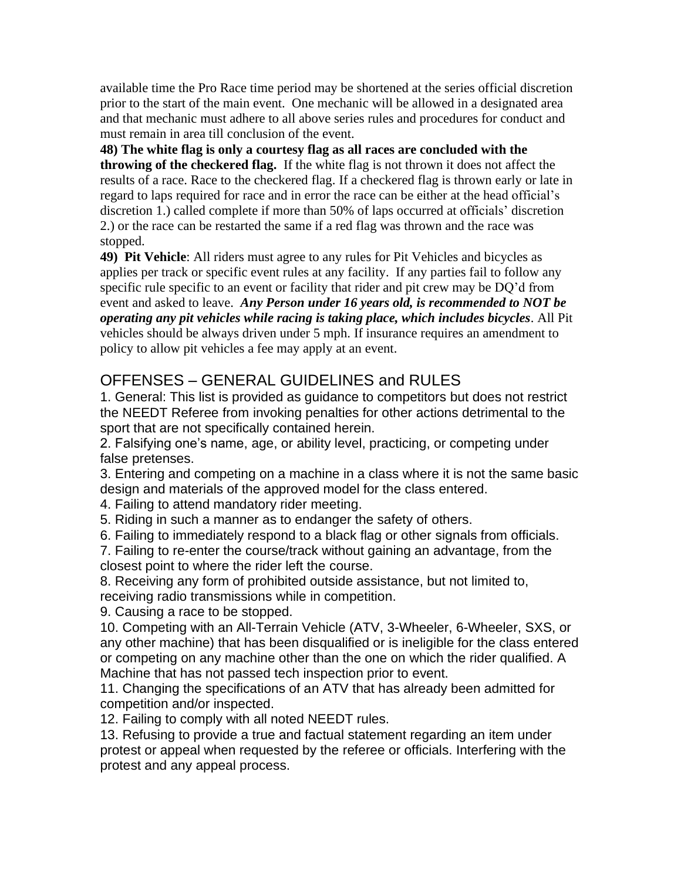available time the Pro Race time period may be shortened at the series official discretion prior to the start of the main event. One mechanic will be allowed in a designated area and that mechanic must adhere to all above series rules and procedures for conduct and must remain in area till conclusion of the event.

**48) The white flag is only a courtesy flag as all races are concluded with the throwing of the checkered flag.** If the white flag is not thrown it does not affect the results of a race. Race to the checkered flag. If a checkered flag is thrown early or late in regard to laps required for race and in error the race can be either at the head official's discretion 1.) called complete if more than 50% of laps occurred at officials' discretion 2.) or the race can be restarted the same if a red flag was thrown and the race was stopped.

**49) Pit Vehicle**: All riders must agree to any rules for Pit Vehicles and bicycles as applies per track or specific event rules at any facility. If any parties fail to follow any specific rule specific to an event or facility that rider and pit crew may be DQ'd from event and asked to leave. *Any Person under 16 years old, is recommended to NOT be operating any pit vehicles while racing is taking place, which includes bicycles*. All Pit vehicles should be always driven under 5 mph. If insurance requires an amendment to policy to allow pit vehicles a fee may apply at an event.

## OFFENSES – GENERAL GUIDELINES and RULES

1. General: This list is provided as guidance to competitors but does not restrict the NEEDT Referee from invoking penalties for other actions detrimental to the sport that are not specifically contained herein.

2. Falsifying one's name, age, or ability level, practicing, or competing under false pretenses.

3. Entering and competing on a machine in a class where it is not the same basic design and materials of the approved model for the class entered.

4. Failing to attend mandatory rider meeting.

5. Riding in such a manner as to endanger the safety of others.

6. Failing to immediately respond to a black flag or other signals from officials.

7. Failing to re-enter the course/track without gaining an advantage, from the closest point to where the rider left the course.

8. Receiving any form of prohibited outside assistance, but not limited to, receiving radio transmissions while in competition.

9. Causing a race to be stopped.

10. Competing with an All-Terrain Vehicle (ATV, 3-Wheeler, 6-Wheeler, SXS, or any other machine) that has been disqualified or is ineligible for the class entered or competing on any machine other than the one on which the rider qualified. A Machine that has not passed tech inspection prior to event.

11. Changing the specifications of an ATV that has already been admitted for competition and/or inspected.

12. Failing to comply with all noted NEEDT rules.

13. Refusing to provide a true and factual statement regarding an item under protest or appeal when requested by the referee or officials. Interfering with the protest and any appeal process.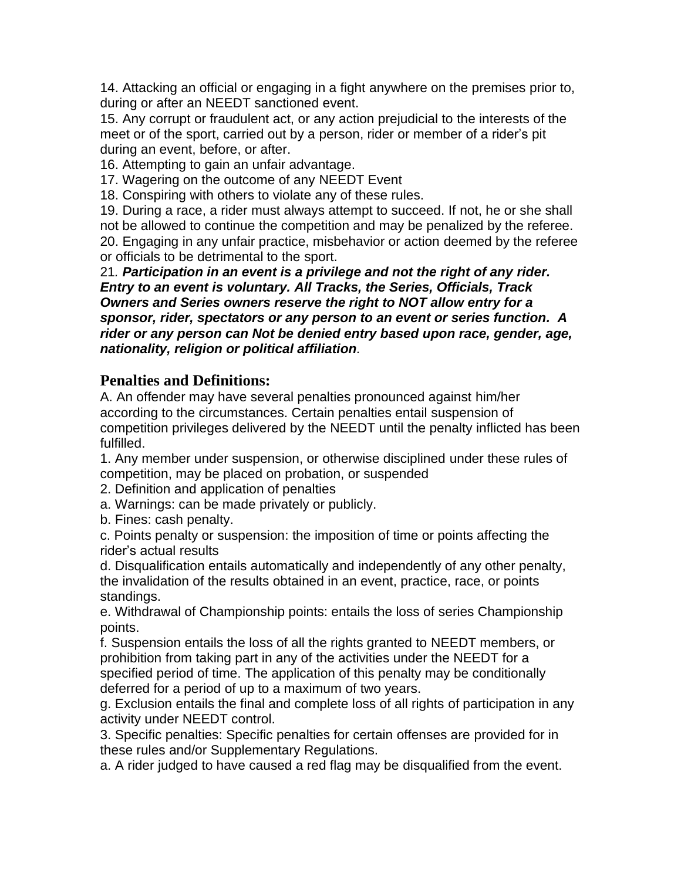14. Attacking an official or engaging in a fight anywhere on the premises prior to, during or after an NEEDT sanctioned event.

15. Any corrupt or fraudulent act, or any action prejudicial to the interests of the meet or of the sport, carried out by a person, rider or member of a rider's pit during an event, before, or after.

16. Attempting to gain an unfair advantage.

17. Wagering on the outcome of any NEEDT Event

18. Conspiring with others to violate any of these rules.

19. During a race, a rider must always attempt to succeed. If not, he or she shall not be allowed to continue the competition and may be penalized by the referee. 20. Engaging in any unfair practice, misbehavior or action deemed by the referee or officials to be detrimental to the sport.

21*. Participation in an event is a privilege and not the right of any rider. Entry to an event is voluntary. All Tracks, the Series, Officials, Track Owners and Series owners reserve the right to NOT allow entry for a sponsor, rider, spectators or any person to an event or series function. A rider or any person can Not be denied entry based upon race, gender, age, nationality, religion or political affiliation.*

### **Penalties and Definitions:**

A. An offender may have several penalties pronounced against him/her according to the circumstances. Certain penalties entail suspension of competition privileges delivered by the NEEDT until the penalty inflicted has been fulfilled.

1. Any member under suspension, or otherwise disciplined under these rules of competition, may be placed on probation, or suspended

2. Definition and application of penalties

a. Warnings: can be made privately or publicly.

b. Fines: cash penalty.

c. Points penalty or suspension: the imposition of time or points affecting the rider's actual results

d. Disqualification entails automatically and independently of any other penalty, the invalidation of the results obtained in an event, practice, race, or points standings.

e. Withdrawal of Championship points: entails the loss of series Championship points.

f. Suspension entails the loss of all the rights granted to NEEDT members, or prohibition from taking part in any of the activities under the NEEDT for a specified period of time. The application of this penalty may be conditionally deferred for a period of up to a maximum of two years.

g. Exclusion entails the final and complete loss of all rights of participation in any activity under NEEDT control.

3. Specific penalties: Specific penalties for certain offenses are provided for in these rules and/or Supplementary Regulations.

a. A rider judged to have caused a red flag may be disqualified from the event.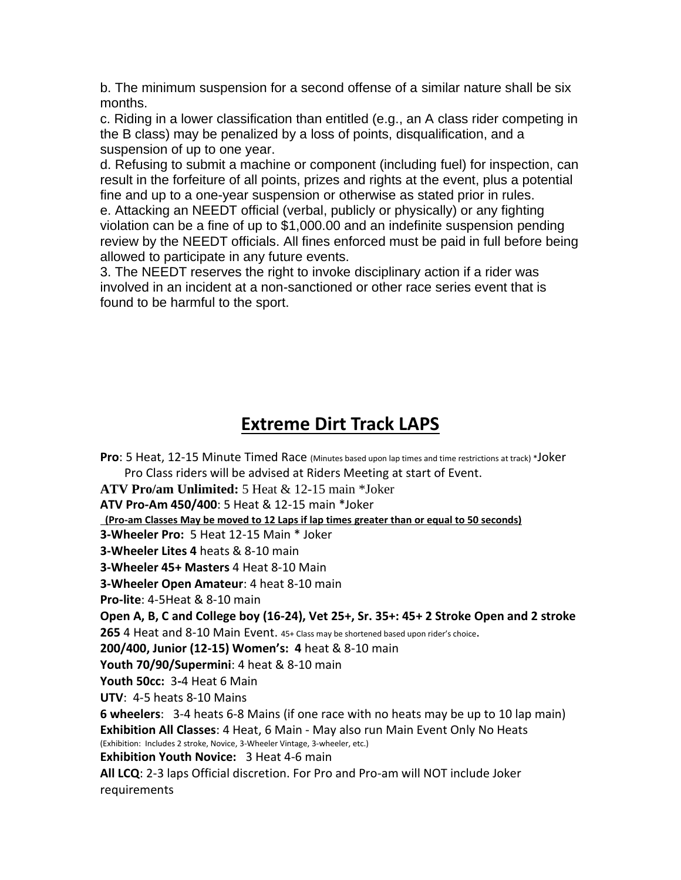b. The minimum suspension for a second offense of a similar nature shall be six months.

c. Riding in a lower classification than entitled (e.g., an A class rider competing in the B class) may be penalized by a loss of points, disqualification, and a suspension of up to one year.

d. Refusing to submit a machine or component (including fuel) for inspection, can result in the forfeiture of all points, prizes and rights at the event, plus a potential fine and up to a one-year suspension or otherwise as stated prior in rules.

e. Attacking an NEEDT official (verbal, publicly or physically) or any fighting violation can be a fine of up to \$1,000.00 and an indefinite suspension pending review by the NEEDT officials. All fines enforced must be paid in full before being allowed to participate in any future events.

3. The NEEDT reserves the right to invoke disciplinary action if a rider was involved in an incident at a non-sanctioned or other race series event that is found to be harmful to the sport.

## **Extreme Dirt Track LAPS**

**Pro**: 5 Heat, 12-15 Minute Timed Race (Minutes based upon lap times and time restrictions at track) \*Joker Pro Class riders will be advised at Riders Meeting at start of Event. **ATV Pro/am Unlimited:** 5 Heat & 12-15 main \*Joker **ATV Pro-Am 450/400**: 5 Heat & 12-15 main \*Joker  **(Pro-am Classes May be moved to 12 Laps if lap times greater than or equal to 50 seconds) 3-Wheeler Pro:** 5 Heat 12-15 Main \* Joker **3-Wheeler Lites 4** heats & 8-10 main **3-Wheeler 45+ Masters** 4 Heat 8-10 Main **3-Wheeler Open Amateur**: 4 heat 8-10 main **Pro-lite**: 4-5Heat & 8-10 main **Open A, B, C and College boy (16-24), Vet 25+, Sr. 35+: 45+ 2 Stroke Open and 2 stroke 265** 4 Heat and 8-10 Main Event. 45+ Class may be shortened based upon rider's choice. **200/400, Junior (12-15) Women's: 4** heat & 8-10 main **Youth 70/90/Supermini**: 4 heat & 8-10 main **Youth 50cc:** 3**-**4 Heat 6 Main **UTV**: 4-5 heats 8-10 Mains **6 wheelers**: 3-4 heats 6-8 Mains (if one race with no heats may be up to 10 lap main) **Exhibition All Classes**: 4 Heat, 6 Main - May also run Main Event Only No Heats (Exhibition: Includes 2 stroke, Novice, 3-Wheeler Vintage, 3-wheeler, etc.) **Exhibition Youth Novice:** 3 Heat 4-6 main **All LCQ**: 2-3 laps Official discretion. For Pro and Pro-am will NOT include Joker requirements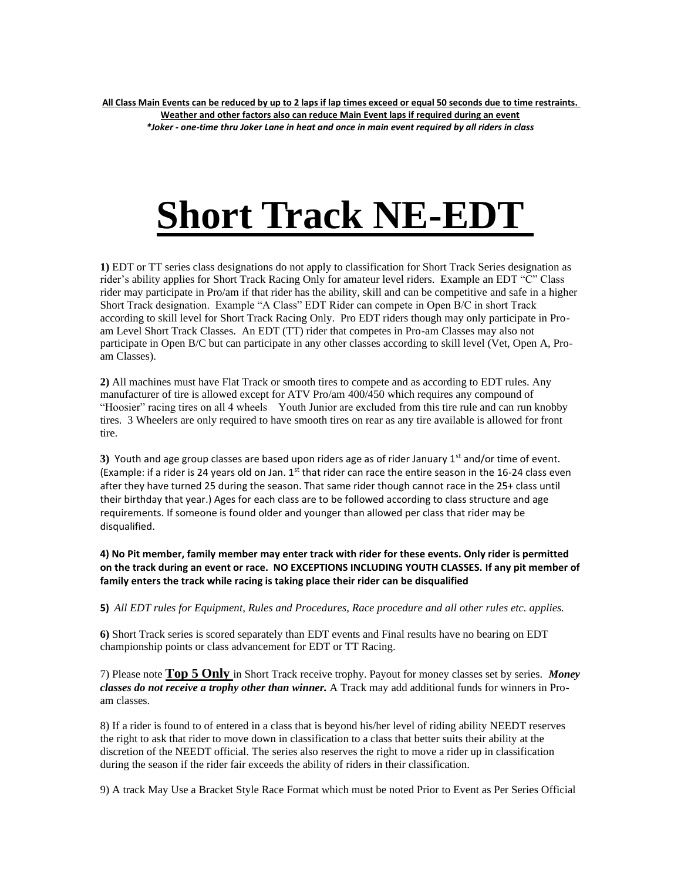# **Short Track NE-EDT**

**1)** EDT or TT series class designations do not apply to classification for Short Track Series designation as rider's ability applies for Short Track Racing Only for amateur level riders. Example an EDT "C" Class rider may participate in Pro/am if that rider has the ability, skill and can be competitive and safe in a higher Short Track designation. Example "A Class" EDT Rider can compete in Open B/C in short Track according to skill level for Short Track Racing Only. Pro EDT riders though may only participate in Proam Level Short Track Classes. An EDT (TT) rider that competes in Pro-am Classes may also not participate in Open B/C but can participate in any other classes according to skill level (Vet, Open A, Proam Classes).

**2)** All machines must have Flat Track or smooth tires to compete and as according to EDT rules. Any manufacturer of tire is allowed except for ATV Pro/am 400/450 which requires any compound of "Hoosier" racing tires on all 4 wheels Youth Junior are excluded from this tire rule and can run knobby tires. 3 Wheelers are only required to have smooth tires on rear as any tire available is allowed for front tire.

**3)** Youth and age group classes are based upon riders age as of rider January 1<sup>st</sup> and/or time of event. (Example: if a rider is 24 years old on Jan.  $1^{st}$  that rider can race the entire season in the 16-24 class even after they have turned 25 during the season. That same rider though cannot race in the 25+ class until their birthday that year.) Ages for each class are to be followed according to class structure and age requirements. If someone is found older and younger than allowed per class that rider may be disqualified.

**4) No Pit member, family member may enter track with rider for these events. Only rider is permitted on the track during an event or race. NO EXCEPTIONS INCLUDING YOUTH CLASSES. If any pit member of family enters the track while racing is taking place their rider can be disqualified**

**5)** *All EDT rules for Equipment, Rules and Procedures, Race procedure and all other rules etc. applies.* 

**6)** Short Track series is scored separately than EDT events and Final results have no bearing on EDT championship points or class advancement for EDT or TT Racing.

7) Please note **Top 5 Only** in Short Track receive trophy. Payout for money classes set by series. *Money classes do not receive a trophy other than winner.* A Track may add additional funds for winners in Proam classes.

8) If a rider is found to of entered in a class that is beyond his/her level of riding ability NEEDT reserves the right to ask that rider to move down in classification to a class that better suits their ability at the discretion of the NEEDT official. The series also reserves the right to move a rider up in classification during the season if the rider fair exceeds the ability of riders in their classification.

9) A track May Use a Bracket Style Race Format which must be noted Prior to Event as Per Series Official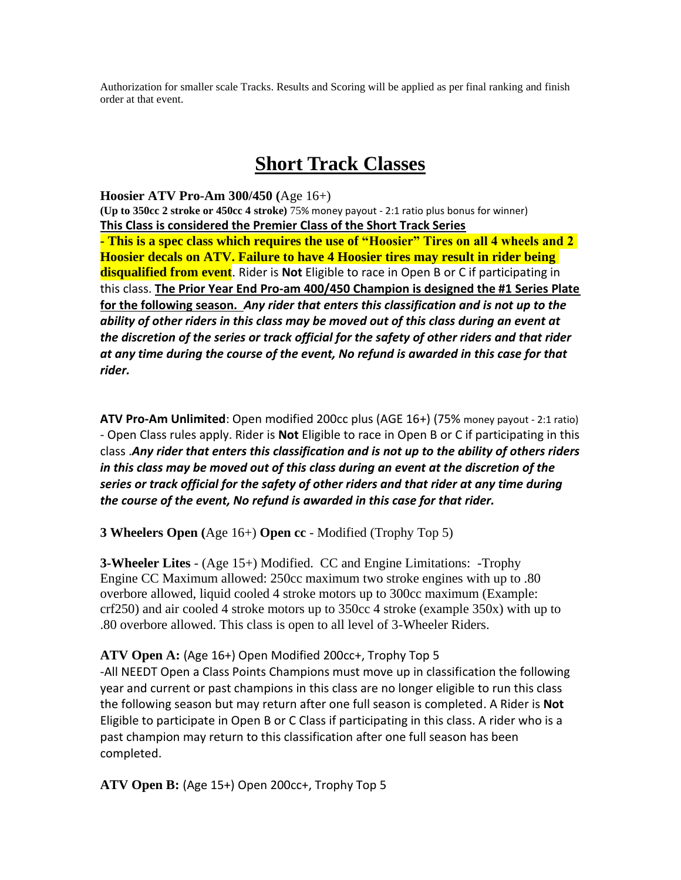Authorization for smaller scale Tracks. Results and Scoring will be applied as per final ranking and finish order at that event.

## **Short Track Classes**

**Hoosier ATV Pro-Am 300/450 (**Age 16+) **(Up to 350cc 2 stroke or 450cc 4 stroke)** 75% money payout - 2:1 ratio plus bonus for winner) **This Class is considered the Premier Class of the Short Track Series - This is a spec class which requires the use of "Hoosier" Tires on all 4 wheels and 2 Hoosier decals on ATV. Failure to have 4 Hoosier tires may result in rider being disqualified from event**. Rider is **Not** Eligible to race in Open B or C if participating in this class. **The Prior Year End Pro-am 400/450 Champion is designed the #1 Series Plate for the following season.** *Any rider that enters this classification and is not up to the ability of other riders in this class may be moved out of this class during an event at the discretion of the series or track official for the safety of other riders and that rider at any time during the course of the event, No refund is awarded in this case for that rider.* 

**ATV Pro-Am Unlimited**: Open modified 200cc plus (AGE 16+) (75% money payout - 2:1 ratio) - Open Class rules apply. Rider is **Not** Eligible to race in Open B or C if participating in this class .*Any rider that enters this classification and is not up to the ability of others riders in this class may be moved out of this class during an event at the discretion of the series or track official for the safety of other riders and that rider at any time during the course of the event, No refund is awarded in this case for that rider.*

**3 Wheelers Open (**Age 16+) **Open cc** - Modified (Trophy Top 5)

**3-Wheeler Lites** - (Age 15+) Modified. CC and Engine Limitations: -Trophy Engine CC Maximum allowed: 250cc maximum two stroke engines with up to .80 overbore allowed, liquid cooled 4 stroke motors up to 300cc maximum (Example: crf250) and air cooled 4 stroke motors up to 350cc 4 stroke (example 350x) with up to .80 overbore allowed. This class is open to all level of 3-Wheeler Riders.

**ATV Open A:** (Age 16+) Open Modified 200cc+, Trophy Top 5 -All NEEDT Open a Class Points Champions must move up in classification the following year and current or past champions in this class are no longer eligible to run this class the following season but may return after one full season is completed. A Rider is **Not** Eligible to participate in Open B or C Class if participating in this class. A rider who is a past champion may return to this classification after one full season has been completed.

**ATV Open B:** (Age 15+) Open 200cc+, Trophy Top 5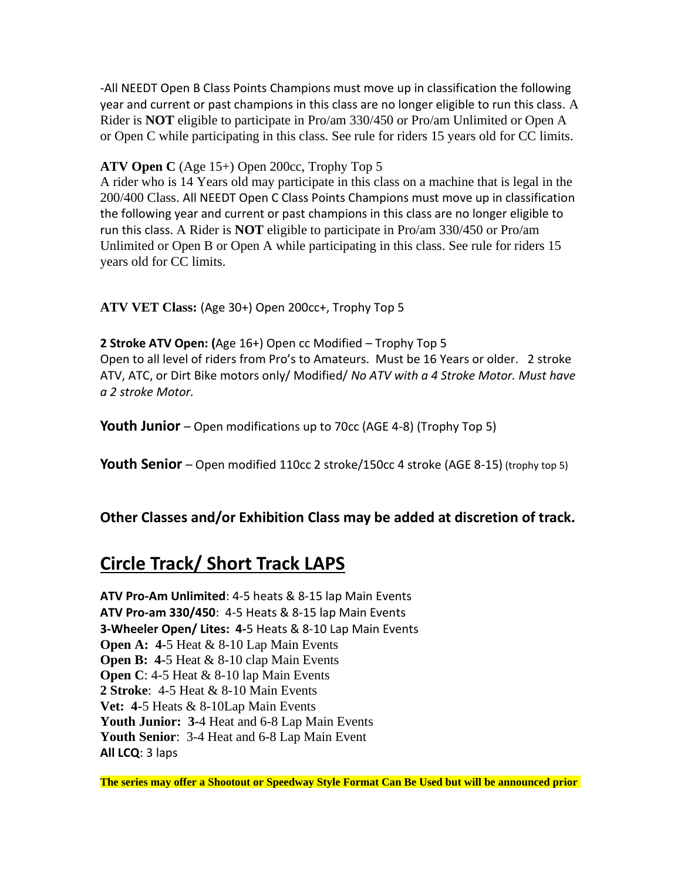-All NEEDT Open B Class Points Champions must move up in classification the following year and current or past champions in this class are no longer eligible to run this class. A Rider is **NOT** eligible to participate in Pro/am 330/450 or Pro/am Unlimited or Open A or Open C while participating in this class. See rule for riders 15 years old for CC limits.

**ATV Open C** (Age 15+) Open 200cc, Trophy Top 5

A rider who is 14 Years old may participate in this class on a machine that is legal in the 200/400 Class. All NEEDT Open C Class Points Champions must move up in classification the following year and current or past champions in this class are no longer eligible to run this class. A Rider is **NOT** eligible to participate in Pro/am 330/450 or Pro/am Unlimited or Open B or Open A while participating in this class. See rule for riders 15 years old for CC limits.

**ATV VET Class:** (Age 30+) Open 200cc+, Trophy Top 5

**2 Stroke ATV Open: (**Age 16+) Open cc Modified – Trophy Top 5 Open to all level of riders from Pro's to Amateurs. Must be 16 Years or older. 2 stroke ATV, ATC, or Dirt Bike motors only/ Modified/ *No ATV with a 4 Stroke Motor. Must have a 2 stroke Motor.* 

**Youth Junior** – Open modifications up to 70cc (AGE 4-8) (Trophy Top 5)

**Youth Senior** – Open modified 110cc 2 stroke/150cc 4 stroke (AGE 8-15) (trophy top 5)

**Other Classes and/or Exhibition Class may be added at discretion of track.**

## **Circle Track/ Short Track LAPS**

**ATV Pro-Am Unlimited**: 4-5 heats & 8-15 lap Main Events **ATV Pro-am 330/450**: 4-5 Heats & 8-15 lap Main Events **3-Wheeler Open/ Lites: 4-**5 Heats & 8-10 Lap Main Events **Open A: 4-5 Heat & 8-10 Lap Main Events Open B: 4-5 Heat & 8-10 clap Main Events Open C:** 4-5 Heat & 8-10 lap Main Events **2 Stroke**: 4-5 Heat & 8-10 Main Events **Vet: 4-**5 Heats & 8-10Lap Main Events **Youth Junior: 3-**4 Heat and 6-8 Lap Main Events **Youth Senior**: 3-4 Heat and 6-8 Lap Main Event **All LCQ**: 3 laps